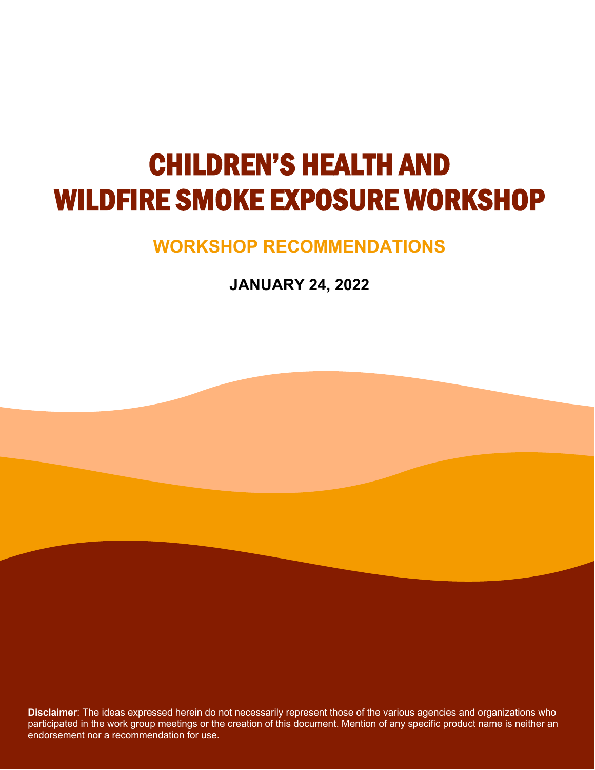## CHILDREN'S HEALTH AND WILDFIRE SMOKE EXPOSURE WORKSHOP

## **WORKSHOP RECOMMENDATIONS**

**JANUARY 24, 2022**

**Disclaimer**: The ideas expressed herein do not necessarily represent those of the various agencies and organizations who participated in the work group meetings or the creation of this document. Mention of any specific product name is neither an endorsement nor a recommendation for use.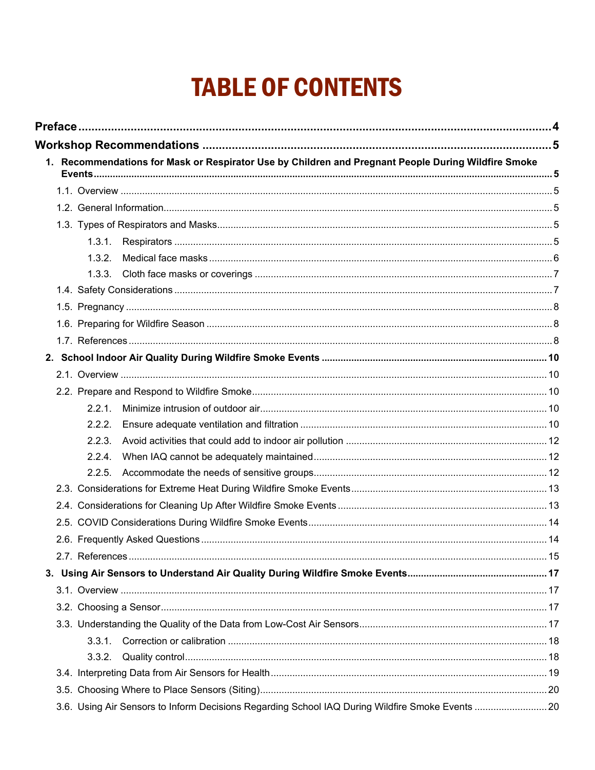## **TABLE OF CONTENTS**

| 1. Recommendations for Mask or Respirator Use by Children and Pregnant People During Wildfire Smoke |  |
|-----------------------------------------------------------------------------------------------------|--|
|                                                                                                     |  |
|                                                                                                     |  |
|                                                                                                     |  |
|                                                                                                     |  |
|                                                                                                     |  |
|                                                                                                     |  |
| 1.3.1.                                                                                              |  |
| 1.3.2.                                                                                              |  |
| 1.3.3.                                                                                              |  |
|                                                                                                     |  |
|                                                                                                     |  |
|                                                                                                     |  |
|                                                                                                     |  |
|                                                                                                     |  |
|                                                                                                     |  |
|                                                                                                     |  |
| 2.2.1.                                                                                              |  |
| 2.2.2.                                                                                              |  |
| 2.2.3.                                                                                              |  |
| 2.2.4.                                                                                              |  |
| 2.2.5.                                                                                              |  |
|                                                                                                     |  |
|                                                                                                     |  |
|                                                                                                     |  |
|                                                                                                     |  |
|                                                                                                     |  |
|                                                                                                     |  |
|                                                                                                     |  |
|                                                                                                     |  |
|                                                                                                     |  |
| 3.3.1.                                                                                              |  |
| 3.3.2.                                                                                              |  |
|                                                                                                     |  |
|                                                                                                     |  |
|                                                                                                     |  |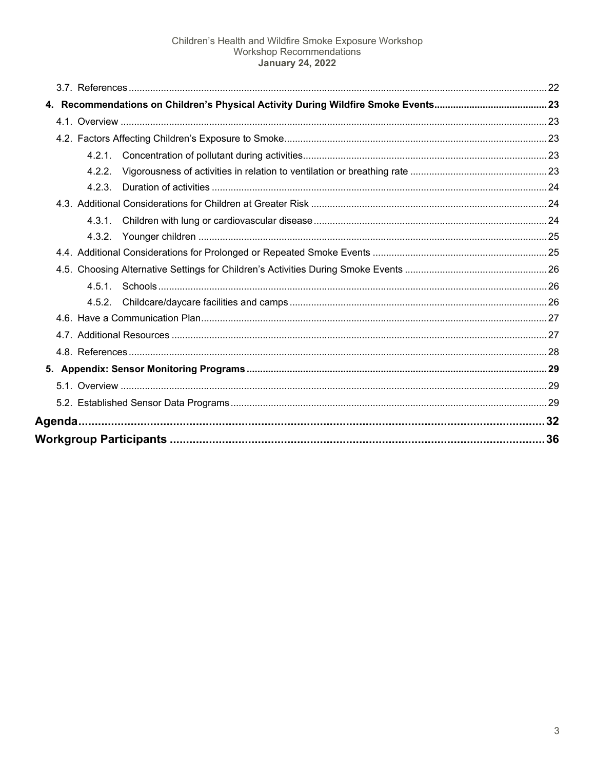| 4.2.2. |    |
|--------|----|
| 4.2.3  |    |
|        |    |
|        |    |
| 4.3.2. |    |
|        |    |
|        |    |
|        |    |
|        |    |
|        |    |
|        |    |
|        |    |
|        |    |
|        |    |
|        |    |
|        |    |
|        | 36 |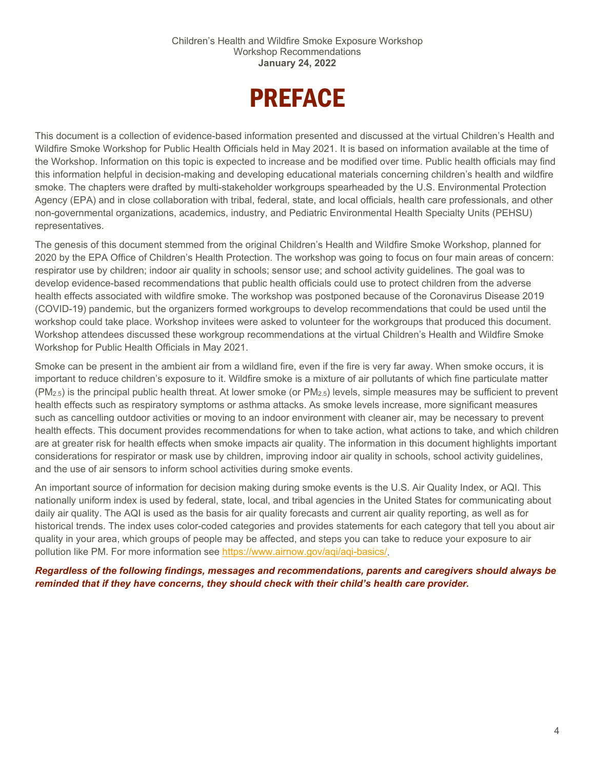## PREFACE

<span id="page-3-0"></span>This document is a collection of evidence-based information presented and discussed at the virtual Children's Health and Wildfire Smoke Workshop for Public Health Officials held in May 2021. It is based on information available at the time of the Workshop. Information on this topic is expected to increase and be modified over time. Public health officials may find this information helpful in decision-making and developing educational materials concerning children's health and wildfire smoke. The chapters were drafted by multi-stakeholder workgroups spearheaded by the U.S. Environmental Protection Agency (EPA) and in close collaboration with tribal, federal, state, and local officials, health care professionals, and other non-governmental organizations, academics, industry, and Pediatric Environmental Health Specialty Units (PEHSU) representatives.

The genesis of this document stemmed from the original Children's Health and Wildfire Smoke Workshop, planned for 2020 by the EPA Office of Children's Health Protection. The workshop was going to focus on four main areas of concern: respirator use by children; indoor air quality in schools; sensor use; and school activity guidelines. The goal was to develop evidence-based recommendations that public health officials could use to protect children from the adverse health effects associated with wildfire smoke. The workshop was postponed because of the Coronavirus Disease 2019 (COVID-19) pandemic, but the organizers formed workgroups to develop recommendations that could be used until the workshop could take place. Workshop invitees were asked to volunteer for the workgroups that produced this document. Workshop attendees discussed these workgroup recommendations at the virtual Children's Health and Wildfire Smoke Workshop for Public Health Officials in May 2021.

Smoke can be present in the ambient air from a wildland fire, even if the fire is very far away. When smoke occurs, it is important to reduce children's exposure to it. Wildfire smoke is a mixture of air pollutants of which fine particulate matter  $(PM_{2.5})$  is the principal public health threat. At lower smoke (or PM<sub>2.5</sub>) levels, simple measures may be sufficient to prevent health effects such as respiratory symptoms or asthma attacks. As smoke levels increase, more significant measures such as cancelling outdoor activities or moving to an indoor environment with cleaner air, may be necessary to prevent health effects. This document provides recommendations for when to take action, what actions to take, and which children are at greater risk for health effects when smoke impacts air quality. The information in this document highlights important considerations for respirator or mask use by children, improving indoor air quality in schools, school activity guidelines, and the use of air sensors to inform school activities during smoke events.

An important source of information for decision making during smoke events is the U.S. Air Quality Index, or AQI. This nationally uniform index is used by federal, state, local, and tribal agencies in the United States for communicating about daily air quality. The AQI is used as the basis for air quality forecasts and current air quality reporting, as well as for historical trends. The index uses color-coded categories and provides statements for each category that tell you about air quality in your area, which groups of people may be affected, and steps you can take to reduce your exposure to air pollution like PM. For more information see [https://www.airnow.gov/aqi/aqi-basics/.](https://www.airnow.gov/aqi/aqi-basics/)

*Regardless of the following findings, messages and recommendations, parents and caregivers should always be reminded that if they have concerns, they should check with their child's health care provider.*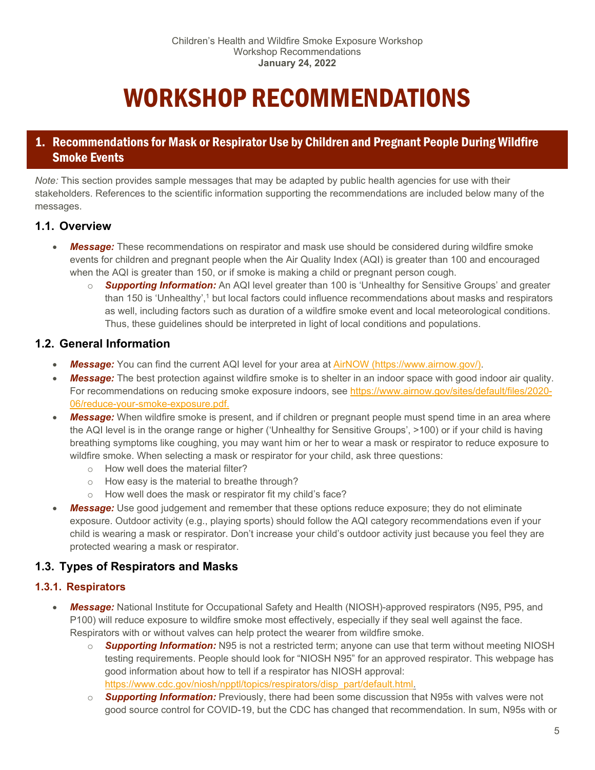## WORKSHOP RECOMMENDATIONS

## <span id="page-4-1"></span><span id="page-4-0"></span>1. Recommendations for Mask or Respirator Use by Children and Pregnant People During Wildfire Smoke Events

*Note:* This section provides sample messages that may be adapted by public health agencies for use with their stakeholders. References to the scientific information supporting the recommendations are included below many of the messages.

## <span id="page-4-2"></span>**1.1. Overview**

- **Message:** These recommendations on respirator and mask use should be considered during wildfire smoke events for children and pregnant people when the Air Quality Index (AQI) is greater than 100 and encouraged when the AQI is greater than 150, or if smoke is making a child or pregnant person cough.
	- o *Supporting Information:* An AQI level greater than 100 is 'Unhealthy for Sensitive Groups' and greater than 150 is 'Unhealthy',<sup>1</sup> but local factors could influence recommendations about masks and respirators as well, including factors such as duration of a wildfire smoke event and local meteorological conditions. Thus, these guidelines should be interpreted in light of local conditions and populations.

## <span id="page-4-3"></span>**1.2. General Information**

- *Message:* You can find the current AQI level for your area at [AirNOW \(https://www.airnow.gov/\).](https://www.airnow.gov/)
- *Message:* The best protection against wildfire smoke is to shelter in an indoor space with good indoor air quality. For recommendations on reducing smoke exposure indoors, see [https://www.airnow.gov/sites/default/files/2020-](https://www.airnow.gov/sites/default/files/2020-06/reduce-your-smoke-exposure.pdf.) [06/reduce-your-smoke-exposure.pdf.](https://www.airnow.gov/sites/default/files/2020-06/reduce-your-smoke-exposure.pdf.)
- *Message:* When wildfire smoke is present, and if children or pregnant people must spend time in an area where the AQI level is in the orange range or higher ('Unhealthy for Sensitive Groups', >100) or if your child is having breathing symptoms like coughing, you may want him or her to wear a mask or respirator to reduce exposure to wildfire smoke. When selecting a mask or respirator for your child, ask three questions:
	- o How well does the material filter?
	- o How easy is the material to breathe through?
	- o How well does the mask or respirator fit my child's face?
- **Message:** Use good judgement and remember that these options reduce exposure; they do not eliminate exposure. Outdoor activity (e.g., playing sports) should follow the AQI category recommendations even if your child is wearing a mask or respirator. Don't increase your child's outdoor activity just because you feel they are protected wearing a mask or respirator.

## <span id="page-4-4"></span>**1.3. Types of Respirators and Masks**

## <span id="page-4-5"></span>**1.3.1. Respirators**

- *Message:* National Institute for Occupational Safety and Health (NIOSH)-approved respirators (N95, P95, and P100) will reduce exposure to wildfire smoke most effectively, especially if they seal well against the face. Respirators with or without valves can help protect the wearer from wildfire smoke.
	- o *Supporting Information:* N95 is not a restricted term; anyone can use that term without meeting NIOSH testing requirements. People should look for "NIOSH N95" for an approved respirator. This webpage has good information about how to tell if a respirator has NIOSH approval: [https://www.cdc.gov/niosh/npptl/topics/respirators/disp\\_part/default.html.](https://www.cdc.gov/niosh/npptl/topics/respirators/disp_part/default.html)
	- o *Supporting Information:* Previously, there had been some discussion that N95s with valves were not good source control for COVID-19, but the CDC has changed that recommendation. In sum, N95s with or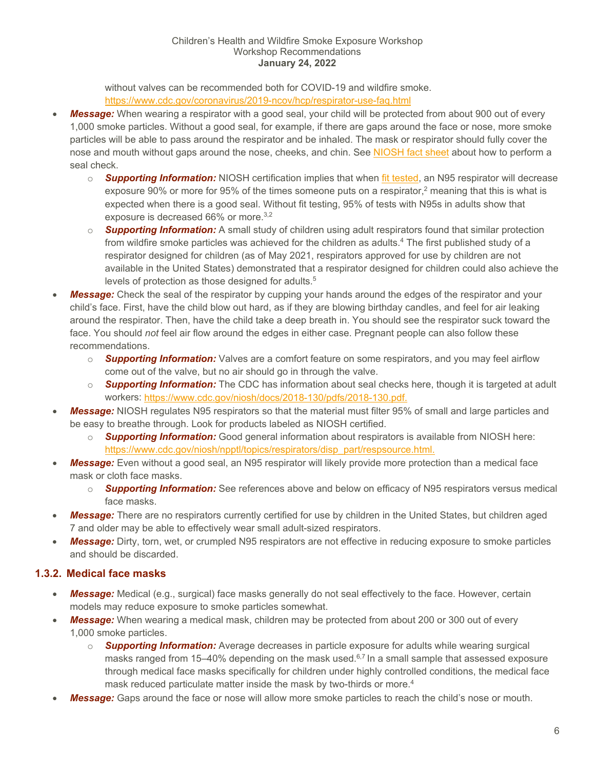without valves can be recommended both for COVID-19 and wildfire smoke. <https://www.cdc.gov/coronavirus/2019-ncov/hcp/respirator-use-faq.html>

- *Message:* When wearing a respirator with a good seal, your child will be protected from about 900 out of every 1,000 smoke particles. Without a good seal, for example, if there are gaps around the face or nose, more smoke particles will be able to pass around the respirator and be inhaled. The mask or respirator should fully cover the nose and mouth without gaps around the nose, cheeks, and chin. See [NIOSH fact sheet](https://www.cdc.gov/niosh/docs/2018-130/pdfs/2018-130.pdf?id=10.26616/NIOSHPUB2018130) about how to perform a seal check.
	- o *Supporting Information:* NIOSH certification implies that when [fit tested,](https://www.cdc.gov/niosh/npptl/topics/respirators/disp_part/respsource3fittest.html) an N95 respirator will decrease exposure 90% or more for 95% of the times someone puts on a respirator,<sup>2</sup> meaning that this is what is expected when there is a good seal. Without fit testing, 95% of tests with N95s in adults show that exposure is decreased 66% or more.<sup>3,2</sup>
	- o *Supporting Information:* A small study of children using adult respirators found that similar protection from wildfire smoke particles was achieved for the children as adults.<sup>4</sup> The first published study of a respirator designed for children (as of May 2021, respirators approved for use by children are not available in the United States) demonstrated that a respirator designed for children could also achieve the levels of protection as those designed for adults.<sup>5</sup>
- **Message:** Check the seal of the respirator by cupping your hands around the edges of the respirator and your child's face. First, have the child blow out hard, as if they are blowing birthday candles, and feel for air leaking around the respirator. Then, have the child take a deep breath in. You should see the respirator suck toward the face. You should *not* feel air flow around the edges in either case. Pregnant people can also follow these recommendations.
	- o *Supporting Information:* Valves are a comfort feature on some respirators, and you may feel airflow come out of the valve, but no air should go in through the valve.
	- o *Supporting Information:* The CDC has information about seal checks here, though it is targeted at adult workers: [https://www.cdc.gov/niosh/docs/2018-130/pdfs/2018-130.pdf.](https://www.cdc.gov/niosh/docs/2018-130/pdfs/2018-130.pdf)
- *Message:* NIOSH regulates N95 respirators so that the material must filter 95% of small and large particles and be easy to breathe through. Look for products labeled as NIOSH certified.
	- o *Supporting Information:* Good general information about respirators is available from NIOSH here: [https://www.cdc.gov/niosh/npptl/topics/respirators/disp\\_part/respsource.html.](https://www.cdc.gov/niosh/npptl/topics/respirators/disp_part/respsource.html)
- *Message:* Even without a good seal, an N95 respirator will likely provide more protection than a medical face mask or cloth face masks.
	- o *Supporting Information:* See references above and below on efficacy of N95 respirators versus medical face masks.
- *Message:* There are no respirators currently certified for use by children in the United States, but children aged 7 and older may be able to effectively wear small adult-sized respirators.
- *Message:* Dirty, torn, wet, or crumpled N95 respirators are not effective in reducing exposure to smoke particles and should be discarded.

## <span id="page-5-0"></span>**1.3.2. Medical face masks**

- *Message:* Medical (e.g., surgical) face masks generally do not seal effectively to the face. However, certain models may reduce exposure to smoke particles somewhat.
- **Message:** When wearing a medical mask, children may be protected from about 200 or 300 out of every 1,000 smoke particles.
	- o *Supporting Information:* Average decreases in particle exposure for adults while wearing surgical masks ranged from 15–40% depending on the mask used. $6,7$  In a small sample that assessed exposure through medical face masks specifically for children under highly controlled conditions, the medical face mask reduced particulate matter inside the mask by two-thirds or more. 4
- *Message:* Gaps around the face or nose will allow more smoke particles to reach the child's nose or mouth.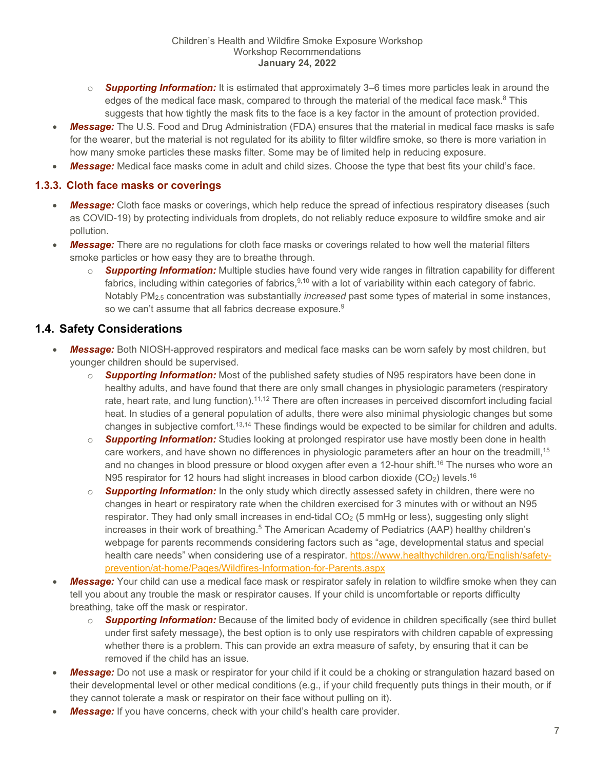- o *Supporting Information:* It is estimated that approximately 3–6 times more particles leak in around the edges of the medical face mask, compared to through the material of the medical face mask. $8$  This suggests that how tightly the mask fits to the face is a key factor in the amount of protection provided.
- *Message:* The U.S. Food and Drug Administration (FDA) ensures that the material in medical face masks is safe for the wearer, but the material is not regulated for its ability to filter wildfire smoke, so there is more variation in how many smoke particles these masks filter. Some may be of limited help in reducing exposure.
- *Message:* Medical face masks come in adult and child sizes. Choose the type that best fits your child's face.

#### <span id="page-6-0"></span>**1.3.3. Cloth face masks or coverings**

- *Message:* Cloth face masks or coverings, which help reduce the spread of infectious respiratory diseases (such as COVID-19) by protecting individuals from droplets, do not reliably reduce exposure to wildfire smoke and air pollution.
- *Message:* There are no regulations for cloth face masks or coverings related to how well the material filters smoke particles or how easy they are to breathe through.
	- o *Supporting Information:* Multiple studies have found very wide ranges in filtration capability for different fabrics, including within categories of fabrics, 9,10 with a lot of variability within each category of fabric. Notably PM2.5 concentration was substantially *increased* past some types of material in some instances, so we can't assume that all fabrics decrease exposure.<sup>9</sup>

## <span id="page-6-1"></span>**1.4. Safety Considerations**

- *Message:* Both NIOSH-approved respirators and medical face masks can be worn safely by most children, but younger children should be supervised.
	- o *Supporting Information:* Most of the published safety studies of N95 respirators have been done in healthy adults, and have found that there are only small changes in physiologic parameters (respiratory rate, heart rate, and lung function).<sup>11,12</sup> There are often increases in perceived discomfort including facial heat. In studies of a general population of adults, there were also minimal physiologic changes but some changes in subjective comfort.13,14 These findings would be expected to be similar for children and adults.
	- o *Supporting Information:* Studies looking at prolonged respirator use have mostly been done in health care workers, and have shown no differences in physiologic parameters after an hour on the treadmill,<sup>15</sup> and no changes in blood pressure or blood oxygen after even a 12-hour shift.<sup>16</sup> The nurses who wore an N95 respirator for 12 hours had slight increases in blood carbon dioxide  $(CO<sub>2</sub>)$  levels.<sup>16</sup>
	- o *Supporting Information:* In the only study which directly assessed safety in children, there were no changes in heart or respiratory rate when the children exercised for 3 minutes with or without an N95 respirator. They had only small increases in end-tidal CO<sub>2</sub> (5 mmHg or less), suggesting only slight increases in their work of breathing.<sup>5</sup> The American Academy of Pediatrics (AAP) healthy children's webpage for parents recommends considering factors such as "age, developmental status and special health care needs" when considering use of a respirator. [https://www.healthychildren.org/English/safety](https://www.healthychildren.org/English/safety-prevention/at-home/Pages/Wildfires-Information-for-Parents.aspx)[prevention/at-home/Pages/Wildfires-Information-for-Parents.aspx](https://www.healthychildren.org/English/safety-prevention/at-home/Pages/Wildfires-Information-for-Parents.aspx)
- *Message:* Your child can use a medical face mask or respirator safely in relation to wildfire smoke when they can tell you about any trouble the mask or respirator causes. If your child is uncomfortable or reports difficulty breathing, take off the mask or respirator.
	- o *Supporting Information:* Because of the limited body of evidence in children specifically (see third bullet under first safety message), the best option is to only use respirators with children capable of expressing whether there is a problem. This can provide an extra measure of safety, by ensuring that it can be removed if the child has an issue.
- *Message:* Do not use a mask or respirator for your child if it could be a choking or strangulation hazard based on their developmental level or other medical conditions (e.g., if your child frequently puts things in their mouth, or if they cannot tolerate a mask or respirator on their face without pulling on it).
- **Message:** If you have concerns, check with your child's health care provider.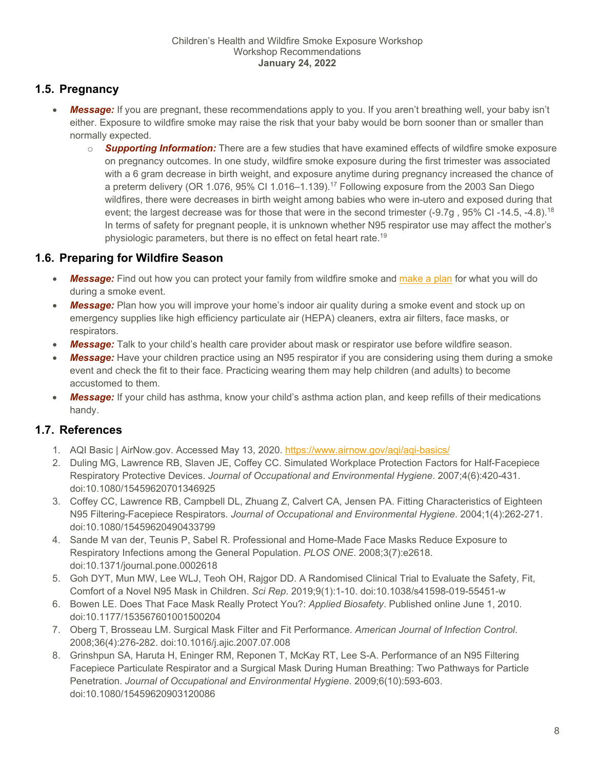## <span id="page-7-0"></span>**1.5. Pregnancy**

- *Message:* If you are pregnant, these recommendations apply to you. If you aren't breathing well, your baby isn't either. Exposure to wildfire smoke may raise the risk that your baby would be born sooner than or smaller than normally expected.
	- o *Supporting Information:* There are a few studies that have examined effects of wildfire smoke exposure on pregnancy outcomes. In one study, wildfire smoke exposure during the first trimester was associated with a 6 gram decrease in birth weight, and exposure anytime during pregnancy increased the chance of a preterm delivery (OR 1.076, 95% CI 1.016–1.139).17 Following exposure from the 2003 San Diego wildfires, there were decreases in birth weight among babies who were in-utero and exposed during that event; the largest decrease was for those that were in the second trimester (-9.7g, 95% CI-14.5, -4.8).<sup>18</sup> In terms of safety for pregnant people, it is unknown whether N95 respirator use may affect the mother's physiologic parameters, but there is no effect on fetal heart rate.<sup>19</sup>

## <span id="page-7-1"></span>**1.6. Preparing for Wildfire Season**

- *Message:* Find out how you can protect your family from wildfire smoke and [make a plan](https://www.airnow.gov/publications/wildfire-guide-factsheets/prepare-for-fire-season/) for what you will do during a smoke event.
- *Message:* Plan how you will improve your home's indoor air quality during a smoke event and stock up on emergency supplies like high efficiency particulate air (HEPA) cleaners, extra air filters, face masks, or respirators.
- *Message:* Talk to your child's health care provider about mask or respirator use before wildfire season.
- *Message:* Have your children practice using an N95 respirator if you are considering using them during a smoke event and check the fit to their face. Practicing wearing them may help children (and adults) to become accustomed to them.
- *Message:* If your child has asthma, know your child's asthma action plan, and keep refills of their medications handy.

## <span id="page-7-2"></span>**1.7. References**

- 1. AQI Basic | AirNow.gov. Accessed May 13, 2020.<https://www.airnow.gov/aqi/aqi-basics/>
- 2. Duling MG, Lawrence RB, Slaven JE, Coffey CC. Simulated Workplace Protection Factors for Half-Facepiece Respiratory Protective Devices. *Journal of Occupational and Environmental Hygiene*. 2007;4(6):420-431. doi:10.1080/15459620701346925
- 3. Coffey CC, Lawrence RB, Campbell DL, Zhuang Z, Calvert CA, Jensen PA. Fitting Characteristics of Eighteen N95 Filtering-Facepiece Respirators. *Journal of Occupational and Environmental Hygiene*. 2004;1(4):262-271. doi:10.1080/15459620490433799
- 4. Sande M van der, Teunis P, Sabel R. Professional and Home-Made Face Masks Reduce Exposure to Respiratory Infections among the General Population. *PLOS ONE*. 2008;3(7):e2618. doi:10.1371/journal.pone.0002618
- 5. Goh DYT, Mun MW, Lee WLJ, Teoh OH, Rajgor DD. A Randomised Clinical Trial to Evaluate the Safety, Fit, Comfort of a Novel N95 Mask in Children. *Sci Rep*. 2019;9(1):1-10. doi:10.1038/s41598-019-55451-w
- 6. Bowen LE. Does That Face Mask Really Protect You?: *Applied Biosafety*. Published online June 1, 2010. doi:10.1177/153567601001500204
- 7. Oberg T, Brosseau LM. Surgical Mask Filter and Fit Performance. *American Journal of Infection Control*. 2008;36(4):276-282. doi:10.1016/j.ajic.2007.07.008
- 8. Grinshpun SA, Haruta H, Eninger RM, Reponen T, McKay RT, Lee S-A. Performance of an N95 Filtering Facepiece Particulate Respirator and a Surgical Mask During Human Breathing: Two Pathways for Particle Penetration. *Journal of Occupational and Environmental Hygiene*. 2009;6(10):593-603. doi:10.1080/15459620903120086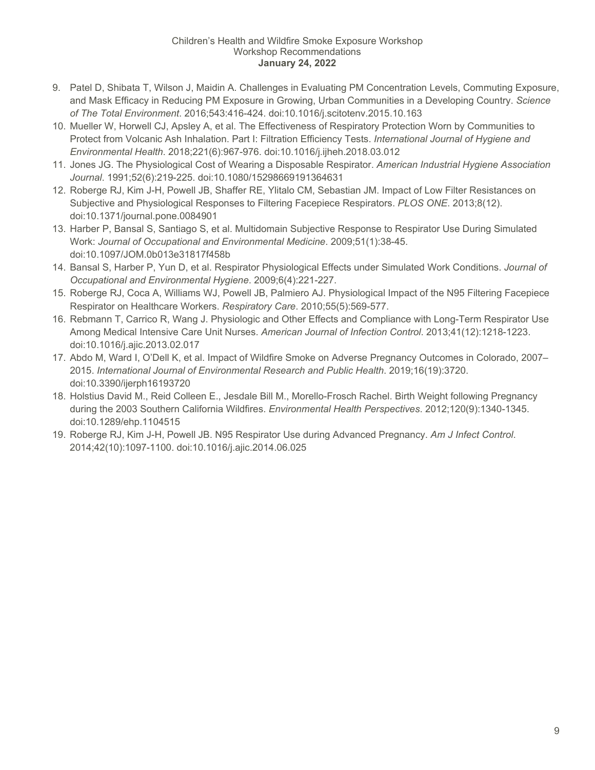- 9. Patel D, Shibata T, Wilson J, Maidin A. Challenges in Evaluating PM Concentration Levels, Commuting Exposure, and Mask Efficacy in Reducing PM Exposure in Growing, Urban Communities in a Developing Country. *Science of The Total Environment*. 2016;543:416-424. doi:10.1016/j.scitotenv.2015.10.163
- 10. Mueller W, Horwell CJ, Apsley A, et al. The Effectiveness of Respiratory Protection Worn by Communities to Protect from Volcanic Ash Inhalation. Part I: Filtration Efficiency Tests. *International Journal of Hygiene and Environmental Health*. 2018;221(6):967-976. doi:10.1016/j.ijheh.2018.03.012
- 11. Jones JG. The Physiological Cost of Wearing a Disposable Respirator. *American Industrial Hygiene Association Journal*. 1991;52(6):219-225. doi:10.1080/15298669191364631
- 12. Roberge RJ, Kim J-H, Powell JB, Shaffer RE, Ylitalo CM, Sebastian JM. Impact of Low Filter Resistances on Subjective and Physiological Responses to Filtering Facepiece Respirators. *PLOS ONE*. 2013;8(12). doi:10.1371/journal.pone.0084901
- 13. Harber P, Bansal S, Santiago S, et al. Multidomain Subjective Response to Respirator Use During Simulated Work: *Journal of Occupational and Environmental Medicine*. 2009;51(1):38-45. doi:10.1097/JOM.0b013e31817f458b
- 14. Bansal S, Harber P, Yun D, et al. Respirator Physiological Effects under Simulated Work Conditions. *Journal of Occupational and Environmental Hygiene*. 2009;6(4):221-227.
- 15. Roberge RJ, Coca A, Williams WJ, Powell JB, Palmiero AJ. Physiological Impact of the N95 Filtering Facepiece Respirator on Healthcare Workers. *Respiratory Care*. 2010;55(5):569-577.
- 16. Rebmann T, Carrico R, Wang J. Physiologic and Other Effects and Compliance with Long-Term Respirator Use Among Medical Intensive Care Unit Nurses. *American Journal of Infection Control*. 2013;41(12):1218-1223. doi:10.1016/j.ajic.2013.02.017
- 17. Abdo M, Ward I, O'Dell K, et al. Impact of Wildfire Smoke on Adverse Pregnancy Outcomes in Colorado, 2007– 2015. *International Journal of Environmental Research and Public Health*. 2019;16(19):3720. doi:10.3390/ijerph16193720
- 18. Holstius David M., Reid Colleen E., Jesdale Bill M., Morello-Frosch Rachel. Birth Weight following Pregnancy during the 2003 Southern California Wildfires. *Environmental Health Perspectives*. 2012;120(9):1340-1345. doi:10.1289/ehp.1104515
- 19. Roberge RJ, Kim J-H, Powell JB. N95 Respirator Use during Advanced Pregnancy. *Am J Infect Control*. 2014;42(10):1097-1100. doi:10.1016/j.ajic.2014.06.025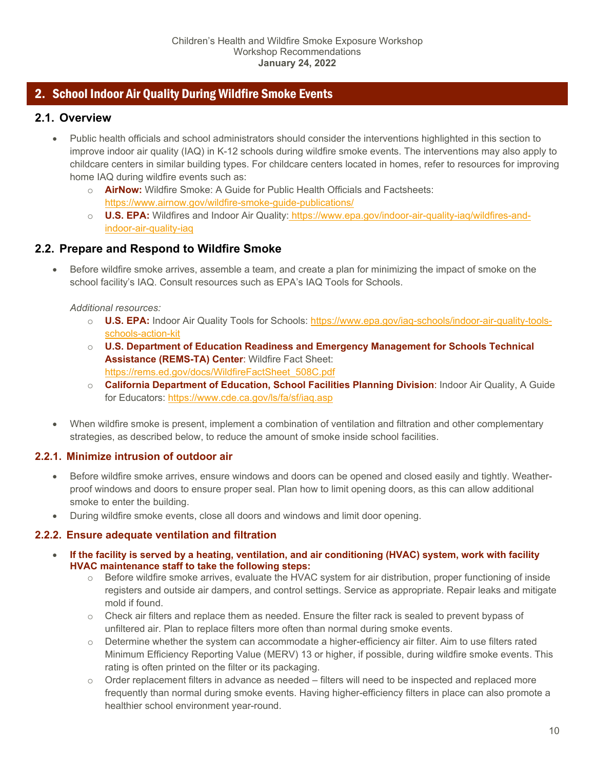## <span id="page-9-0"></span>2. School Indoor Air Quality During Wildfire Smoke Events

## <span id="page-9-1"></span>**2.1. Overview**

- Public health officials and school administrators should consider the interventions highlighted in this section to improve indoor air quality (IAQ) in K-12 schools during wildfire smoke events. The interventions may also apply to childcare centers in similar building types. For childcare centers located in homes, refer to resources for improving home IAQ during wildfire events such as:
	- o **AirNow:** Wildfire Smoke: A Guide for Public Health Officials and Factsheets: <https://www.airnow.gov/wildfire-smoke-guide-publications/>
	- o **U.S. EPA:** Wildfires and Indoor Air Quality: [https://www.epa.gov/indoor-air-quality-iaq/wildfires-and](https://www.epa.gov/indoor-air-quality-iaq/wildfires-and-indoor-air-quality-iaq)[indoor-air-quality-iaq](https://www.epa.gov/indoor-air-quality-iaq/wildfires-and-indoor-air-quality-iaq)

## <span id="page-9-2"></span>**2.2. Prepare and Respond to Wildfire Smoke**

• Before wildfire smoke arrives, assemble a team, and create a plan for minimizing the impact of smoke on the school facility's IAQ. Consult resources such as EPA's IAQ Tools for Schools.

#### *Additional resources:*

- o **U.S. EPA:** Indoor Air Quality Tools for Schools[: https://www.epa.gov/iaq-schools/indoor-air-quality-tools](https://www.epa.gov/iaq-schools/indoor-air-quality-tools-schools-action-kit)[schools-action-kit](https://www.epa.gov/iaq-schools/indoor-air-quality-tools-schools-action-kit)
- o **U.S. Department of Education Readiness and Emergency Management for Schools Technical Assistance (REMS-TA) Center**: Wildfire Fact Sheet: [https://rems.ed.gov/docs/WildfireFactSheet\\_508C.pdf](https://rems.ed.gov/docs/WildfireFactSheet_508C.pdf)
- o **California Department of Education, School Facilities Planning Division**: Indoor Air Quality, A Guide for Educators:<https://www.cde.ca.gov/ls/fa/sf/iaq.asp>
- When wildfire smoke is present, implement a combination of ventilation and filtration and other complementary strategies, as described below, to reduce the amount of smoke inside school facilities.

## <span id="page-9-3"></span>**2.2.1. Minimize intrusion of outdoor air**

- Before wildfire smoke arrives, ensure windows and doors can be opened and closed easily and tightly. Weatherproof windows and doors to ensure proper seal. Plan how to limit opening doors, as this can allow additional smoke to enter the building.
- During wildfire smoke events, close all doors and windows and limit door opening.

## <span id="page-9-4"></span>**2.2.2. Ensure adequate ventilation and filtration**

- **If the facility is served by a heating, ventilation, and air conditioning (HVAC) system, work with facility HVAC maintenance staff to take the following steps:**
	- $\circ$  Before wildfire smoke arrives, evaluate the HVAC system for air distribution, proper functioning of inside registers and outside air dampers, and control settings. Service as appropriate. Repair leaks and mitigate mold if found.
	- $\circ$  Check air filters and replace them as needed. Ensure the filter rack is sealed to prevent bypass of unfiltered air. Plan to replace filters more often than normal during smoke events.
	- o Determine whether the system can accommodate a higher-efficiency air filter. Aim to use filters rated Minimum Efficiency Reporting Value (MERV) 13 or higher, if possible, during wildfire smoke events. This rating is often printed on the filter or its packaging.
	- $\circ$  Order replacement filters in advance as needed filters will need to be inspected and replaced more frequently than normal during smoke events. Having higher-efficiency filters in place can also promote a healthier school environment year-round.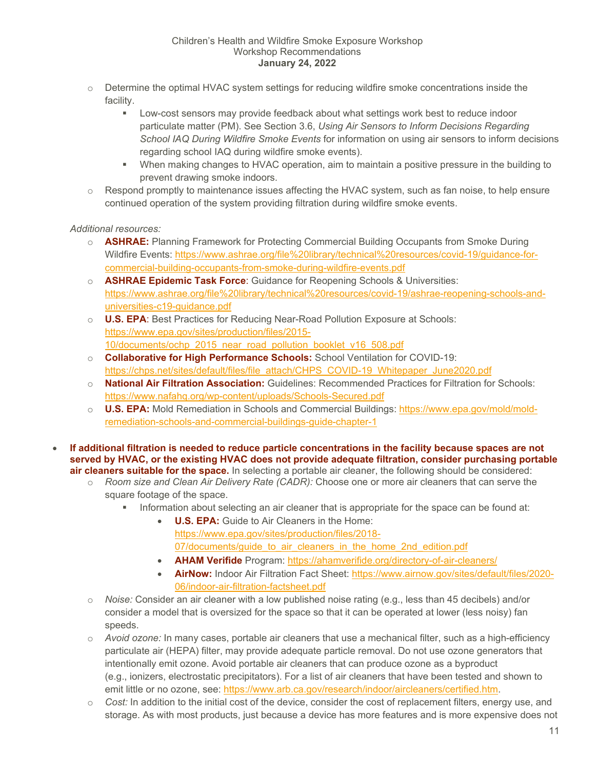- $\circ$  Determine the optimal HVAC system settings for reducing wildfire smoke concentrations inside the facility.
	- Low-cost sensors may provide feedback about what settings work best to reduce indoor particulate matter (PM). See Section [3.6,](#page-19-1) *[Using Air Sensors to Inform Decisions Regarding](#page-19-1)  [School IAQ During Wildfire Smoke Events](#page-19-1)* for information on using air sensors to inform decisions regarding school IAQ during wildfire smoke events).
	- When making changes to HVAC operation, aim to maintain a positive pressure in the building to prevent drawing smoke indoors.
- $\circ$  Respond promptly to maintenance issues affecting the HVAC system, such as fan noise, to help ensure continued operation of the system providing filtration during wildfire smoke events.

#### *Additional resources:*

- o **ASHRAE:** Planning Framework for Protecting Commercial Building Occupants from Smoke During Wildfire Events: [https://www.ashrae.org/file%20library/technical%20resources/covid-19/guidance-for](https://www.ashrae.org/file%20library/technical%20resources/covid-19/guidance-for-commercial-building-occupants-from-smoke-during-wildfire-events.pdf)[commercial-building-occupants-from-smoke-during-wildfire-events.pdf](https://www.ashrae.org/file%20library/technical%20resources/covid-19/guidance-for-commercial-building-occupants-from-smoke-during-wildfire-events.pdf)
- o **ASHRAE Epidemic Task Force**: Guidance for Reopening Schools & Universities: [https://www.ashrae.org/file%20library/technical%20resources/covid-19/ashrae-reopening-schools-and](https://www.ashrae.org/file%20library/technical%20resources/covid-19/ashrae-reopening-schools-and-universities-c19-guidance.pdf)[universities-c19-guidance.pdf](https://www.ashrae.org/file%20library/technical%20resources/covid-19/ashrae-reopening-schools-and-universities-c19-guidance.pdf)
- o **U.S. EPA**: Best Practices for Reducing Near-Road Pollution Exposure at Schools: [https://www.epa.gov/sites/production/files/2015-](https://www.epa.gov/sites/production/files/2015-10/documents/ochp_2015_near_road_pollution_booklet_v16_508.pdf) [10/documents/ochp\\_2015\\_near\\_road\\_pollution\\_booklet\\_v16\\_508.pdf](https://www.epa.gov/sites/production/files/2015-10/documents/ochp_2015_near_road_pollution_booklet_v16_508.pdf)
- o **Collaborative for High Performance Schools:** School Ventilation for COVID-19: [https://chps.net/sites/default/files/file\\_attach/CHPS\\_COVID-19\\_Whitepaper\\_June2020.pdf](https://chps.net/sites/default/files/file_attach/CHPS_COVID-19_Whitepaper_June2020.pdf)
- o **National Air Filtration Association:** Guidelines: Recommended Practices for Filtration for Schools: <https://www.nafahq.org/wp-content/uploads/Schools-Secured.pdf>
- o **U.S. EPA:** Mold Remediation in Schools and Commercial Buildings: [https://www.epa.gov/mold/mold](https://www.epa.gov/mold/mold-remediation-schools-and-commercial-buildings-guide-chapter-1)[remediation-schools-and-commercial-buildings-guide-chapter-1](https://www.epa.gov/mold/mold-remediation-schools-and-commercial-buildings-guide-chapter-1)
- **If additional filtration is needed to reduce particle concentrations in the facility because spaces are not served by HVAC, or the existing HVAC does not provide adequate filtration, consider purchasing portable air cleaners suitable for the space.** In selecting a portable air cleaner, the following should be considered:
	- o *Room size and Clean Air Delivery Rate (CADR):* Choose one or more air cleaners that can serve the square footage of the space.
		- Information about selecting an air cleaner that is appropriate for the space can be found at:
			- **U.S. EPA:** Guide to Air Cleaners in the Home: [https://www.epa.gov/sites/production/files/2018-](https://www.epa.gov/sites/production/files/2018-07/documents/guide_to_air_cleaners_in_the_home_2nd_edition.pdf) 07/documents/quide to air cleaners in the home 2nd edition.pdf
			- **AHAM Verifide** Program:<https://ahamverifide.org/directory-of-air-cleaners/>
			- **AirNow:** Indoor Air Filtration Fact Sheet: [https://www.airnow.gov/sites/default/files/2020-](https://www.airnow.gov/sites/default/files/2020-06/indoor-air-filtration-factsheet.pdf) [06/indoor-air-filtration-factsheet.pdf](https://www.airnow.gov/sites/default/files/2020-06/indoor-air-filtration-factsheet.pdf)
	- o *Noise:* Consider an air cleaner with a low published noise rating (e.g., less than 45 decibels) and/or consider a model that is oversized for the space so that it can be operated at lower (less noisy) fan speeds.
	- o *Avoid ozone:* In many cases, portable air cleaners that use a mechanical filter, such as a high-efficiency particulate air (HEPA) filter, may provide adequate particle removal. Do not use ozone generators that intentionally emit ozone. Avoid portable air cleaners that can produce ozone as a byproduct (e.g., ionizers, electrostatic precipitators). For a list of air cleaners that have been tested and shown to emit little or no ozone, see: [https://www.arb.ca.gov/research/indoor/aircleaners/certified.htm.](https://www.arb.ca.gov/research/indoor/aircleaners/certified.htm)
	- o *Cost:* In addition to the initial cost of the device, consider the cost of replacement filters, energy use, and storage. As with most products, just because a device has more features and is more expensive does not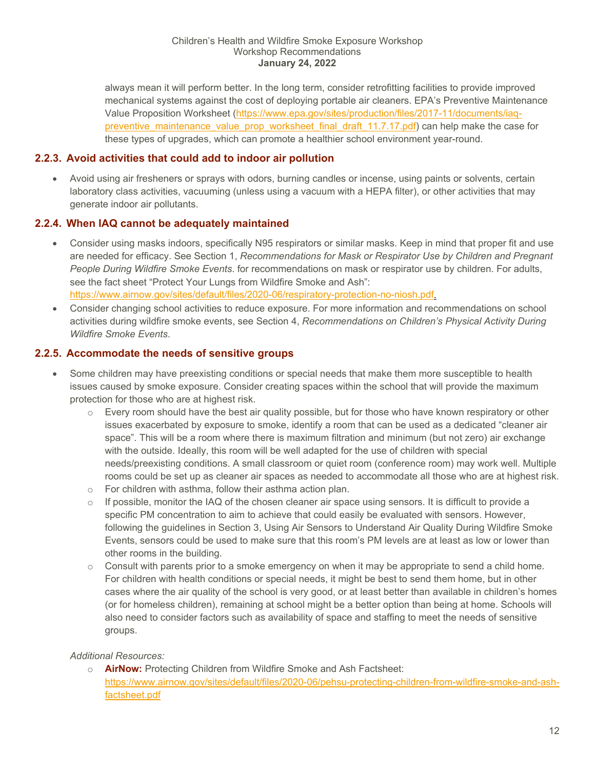always mean it will perform better. In the long term, consider retrofitting facilities to provide improved mechanical systems against the cost of deploying portable air cleaners. EPA's Preventive Maintenance Value Proposition Worksheet [\(https://www.epa.gov/sites/production/files/2017-11/documents/iaq](https://www.epa.gov/sites/production/files/2017-11/documents/iaq-preventive_maintenance_value_prop_worksheet_final_draft_11.7.17.pdf)[preventive\\_maintenance\\_value\\_prop\\_worksheet\\_final\\_draft\\_11.7.17.pdf\)](https://www.epa.gov/sites/production/files/2017-11/documents/iaq-preventive_maintenance_value_prop_worksheet_final_draft_11.7.17.pdf) can help make the case for these types of upgrades, which can promote a healthier school environment year-round.

## <span id="page-11-0"></span>**2.2.3. Avoid activities that could add to indoor air pollution**

• Avoid using air fresheners or sprays with odors, burning candles or incense, using paints or solvents, certain laboratory class activities, vacuuming (unless using a vacuum with a HEPA filter), or other activities that may generate indoor air pollutants.

## <span id="page-11-1"></span>**2.2.4. When IAQ cannot be adequately maintained**

- Consider using masks indoors, specifically N95 respirators or similar masks. Keep in mind that proper fit and use are needed for efficacy. See Section [1,](#page-4-1) *[Recommendations for Mask or Respirator Use by Children and Pregnant](#page-4-1)  [People During Wildfire Smoke Events](#page-4-1)*. for recommendations on mask or respirator use by children. For adults, see the fact sheet "Protect Your Lungs from Wildfire Smoke and Ash": [https://www.airnow.gov/sites/default/files/2020-06/respiratory-protection-no-niosh.pdf.](https://www.airnow.gov/sites/default/files/2020-06/respiratory-protection-no-niosh.pdf)
- Consider changing school activities to reduce exposure. For more information and recommendations on school activities during wildfire smoke events, see Section [4,](#page-22-0) *[Recommendations on Children's Physical Activity During](#page-22-0)  [Wildfire Smoke Events](#page-22-0)*.

## <span id="page-11-2"></span>**2.2.5. Accommodate the needs of sensitive groups**

- Some children may have preexisting conditions or special needs that make them more susceptible to health issues caused by smoke exposure. Consider creating spaces within the school that will provide the maximum protection for those who are at highest risk.
	- o Every room should have the best air quality possible, but for those who have known respiratory or other issues exacerbated by exposure to smoke, identify a room that can be used as a dedicated "cleaner air space". This will be a room where there is maximum filtration and minimum (but not zero) air exchange with the outside. Ideally, this room will be well adapted for the use of children with special needs/preexisting conditions. A small classroom or quiet room (conference room) may work well. Multiple rooms could be set up as cleaner air spaces as needed to accommodate all those who are at highest risk.
	- o For children with asthma, follow their asthma action plan.
	- o If possible, monitor the IAQ of the chosen cleaner air space using sensors. It is difficult to provide a specific PM concentration to aim to achieve that could easily be evaluated with sensors. However, following the guidelines in Section [3, Using Air Sensors to Understand Air Quality During Wildfire Smoke](#page-16-0)  [Events,](#page-16-0) sensors could be used to make sure that this room's PM levels are at least as low or lower than other rooms in the building.
	- $\circ$  Consult with parents prior to a smoke emergency on when it may be appropriate to send a child home. For children with health conditions or special needs, it might be best to send them home, but in other cases where the air quality of the school is very good, or at least better than available in children's homes (or for homeless children), remaining at school might be a better option than being at home. Schools will also need to consider factors such as availability of space and staffing to meet the needs of sensitive groups.

## *Additional Resources:*

o **AirNow:** Protecting Children from Wildfire Smoke and Ash Factsheet: [https://www.airnow.gov/sites/default/files/2020-06/pehsu-protecting-children-from-wildfire-smoke-and-ash](https://www.airnow.gov/sites/default/files/2020-06/pehsu-protecting-children-from-wildfire-smoke-and-ash-factsheet.pdf)[factsheet.pdf](https://www.airnow.gov/sites/default/files/2020-06/pehsu-protecting-children-from-wildfire-smoke-and-ash-factsheet.pdf)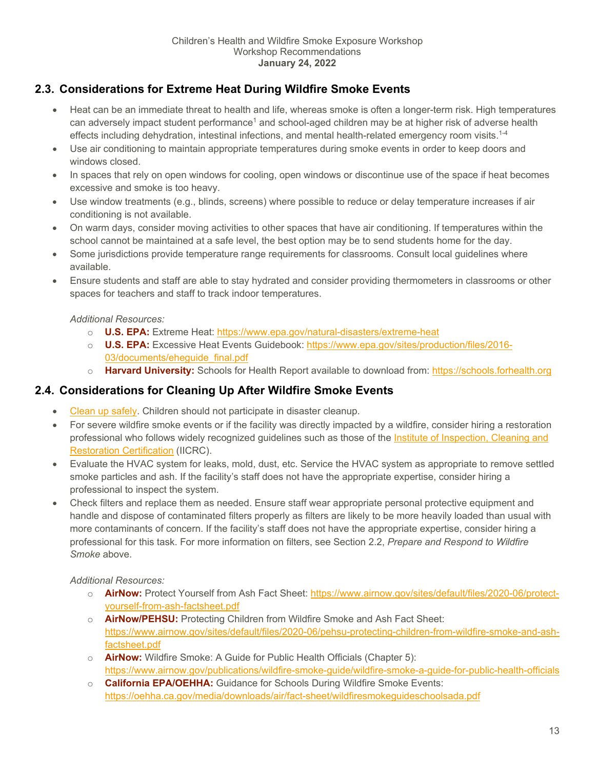## <span id="page-12-0"></span>**2.3. Considerations for Extreme Heat During Wildfire Smoke Events**

- Heat can be an immediate threat to health and life, whereas smoke is often a longer-term risk. High temperatures can adversely impact student performance<sup>1</sup> and school-aged children may be at higher risk of adverse health effects including dehydration, intestinal infections, and mental health-related emergency room visits.<sup>1-4</sup>
- Use air conditioning to maintain appropriate temperatures during smoke events in order to keep doors and windows closed.
- In spaces that rely on open windows for cooling, open windows or discontinue use of the space if heat becomes excessive and smoke is too heavy.
- Use window treatments (e.g., blinds, screens) where possible to reduce or delay temperature increases if air conditioning is not available.
- On warm days, consider moving activities to other spaces that have air conditioning. If temperatures within the school cannot be maintained at a safe level, the best option may be to send students home for the day.
- Some jurisdictions provide temperature range requirements for classrooms. Consult local guidelines where available.
- Ensure students and staff are able to stay hydrated and consider providing thermometers in classrooms or other spaces for teachers and staff to track indoor temperatures.

*Additional Resources:*

- o **U.S. EPA:** Extreme Heat:<https://www.epa.gov/natural-disasters/extreme-heat>
- o **U.S. EPA:** Excessive Heat Events Guidebook: [https://www.epa.gov/sites/production/files/2016-](https://www.epa.gov/sites/production/files/2016-03/documents/eheguide_final.pdf) 03/documents/ehequide\_final.pdf
- o **Harvard University:** Schools for Health Report available to download from: [https://schools.forhealth.org](https://schools.forhealth.org/)

## <span id="page-12-1"></span>**2.4. Considerations for Cleaning Up After Wildfire Smoke Events**

- [Clean up safely.](https://www.ourair.org/safe-ash-cleanup-after-a-fire-infographic/) Children should not participate in disaster cleanup.
- For severe wildfire smoke events or if the facility was directly impacted by a wildfire, consider hiring a restoration professional who follows widely recognized guidelines such as those of the [Institute of Inspection, Cleaning and](https://iicrc.site-ym.com/)  [Restoration Certification](https://iicrc.site-ym.com/) (IICRC).
- Evaluate the HVAC system for leaks, mold, dust, etc. Service the HVAC system as appropriate to remove settled smoke particles and ash. If the facility's staff does not have the appropriate expertise, consider hiring a professional to inspect the system.
- Check filters and replace them as needed. Ensure staff wear appropriate personal protective equipment and handle and dispose of contaminated filters properly as filters are likely to be more heavily loaded than usual with more contaminants of concern. If the facility's staff does not have the appropriate expertise, consider hiring a professional for this task. For more information on filters, see Section [2.2,](#page-9-2) *[Prepare and Respond to Wildfire](#page-9-2)  [Smoke](#page-9-2)* above.

*Additional Resources:*

- o **AirNow:** Protect Yourself from Ash Fact Sheet[: https://www.airnow.gov/sites/default/files/2020-06/protect](https://www.airnow.gov/sites/default/files/2020-06/protect-yourself-from-ash-factsheet.pdf)[yourself-from-ash-factsheet.pdf](https://www.airnow.gov/sites/default/files/2020-06/protect-yourself-from-ash-factsheet.pdf)
- o **AirNow/PEHSU:** Protecting Children from Wildfire Smoke and Ash Fact Sheet: [https://www.airnow.gov/sites/default/files/2020-06/pehsu-protecting-children-from-wildfire-smoke-and-ash](https://www.airnow.gov/sites/default/files/2020-06/pehsu-protecting-children-from-wildfire-smoke-and-ash-factsheet.pdf)[factsheet.pdf](https://www.airnow.gov/sites/default/files/2020-06/pehsu-protecting-children-from-wildfire-smoke-and-ash-factsheet.pdf)
- o **AirNow:** Wildfire Smoke: A Guide for Public Health Officials (Chapter 5): <https://www.airnow.gov/publications/wildfire-smoke-guide/wildfire-smoke-a-guide-for-public-health-officials>
- o **California EPA/OEHHA:** Guidance for Schools During Wildfire Smoke Events: <https://oehha.ca.gov/media/downloads/air/fact-sheet/wildfiresmokeguideschoolsada.pdf>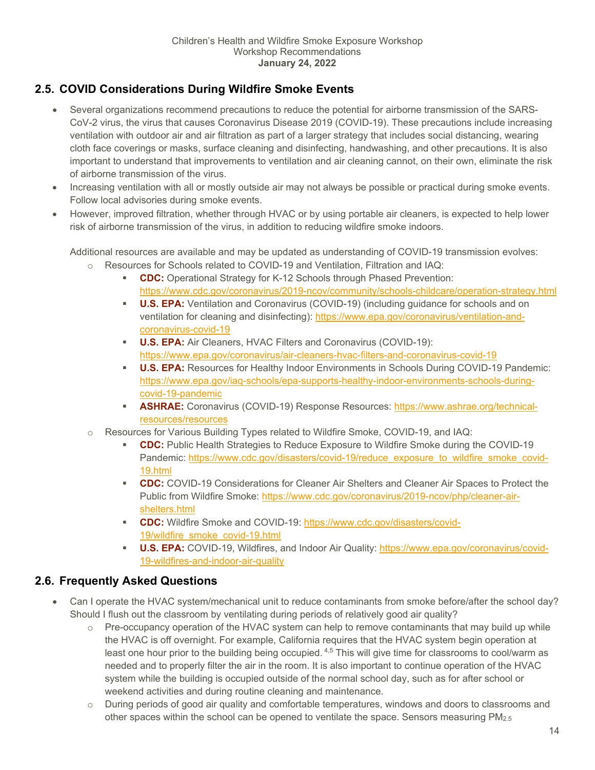## <span id="page-13-0"></span>**2.5. COVID Considerations During Wildfire Smoke Events**

- Several organizations recommend precautions to reduce the potential for airborne transmission of the SARS-CoV-2 virus, the virus that causes Coronavirus Disease 2019 (COVID-19). These precautions include increasing ventilation with outdoor air and air filtration as part of a larger strategy that includes social distancing, wearing cloth face coverings or masks, surface cleaning and disinfecting, handwashing, and other precautions. It is also important to understand that improvements to ventilation and air cleaning cannot, on their own, eliminate the risk of airborne transmission of the virus.
- Increasing ventilation with all or mostly outside air may not always be possible or practical during smoke events. Follow local advisories during smoke events.
- However, improved filtration, whether through HVAC or by using portable air cleaners, is expected to help lower risk of airborne transmission of the virus, in addition to reducing wildfire smoke indoors.

Additional resources are available and may be updated as understanding of COVID-19 transmission evolves:

- o Resources for Schools related to COVID-19 and Ventilation, Filtration and IAQ:
	- **CDC:** Operational Strategy for K-12 Schools through Phased Prevention: <https://www.cdc.gov/coronavirus/2019-ncov/community/schools-childcare/operation-strategy.html>
	- **U.S. EPA:** Ventilation and Coronavirus (COVID-19) (including guidance for schools and on ventilation for cleaning and disinfecting): [https://www.epa.gov/coronavirus/ventilation-and](https://www.epa.gov/coronavirus/ventilation-and-coronavirus-covid-19)[coronavirus-covid-19](https://www.epa.gov/coronavirus/ventilation-and-coronavirus-covid-19)
	- **U.S. EPA:** Air Cleaners, HVAC Filters and Coronavirus (COVID-19): <https://www.epa.gov/coronavirus/air-cleaners-hvac-filters-and-coronavirus-covid-19>
	- **U.S. EPA:** Resources for Healthy Indoor Environments in Schools During COVID-19 Pandemic: [https://www.epa.gov/iaq-schools/epa-supports-healthy-indoor-environments-schools-during](https://www.epa.gov/iaq-schools/epa-supports-healthy-indoor-environments-schools-during-covid-19-pandemic)[covid-19-pandemic](https://www.epa.gov/iaq-schools/epa-supports-healthy-indoor-environments-schools-during-covid-19-pandemic)
	- **ASHRAE:** Coronavirus (COVID-19) Response Resources[: https://www.ashrae.org/technical](https://www.ashrae.org/technical-resources/resources)[resources/resources](https://www.ashrae.org/technical-resources/resources)
- o Resources for Various Building Types related to Wildfire Smoke, COVID-19, and IAQ:
	- **CDC:** Public Health Strategies to Reduce Exposure to Wildfire Smoke during the COVID-19 Pandemic: [https://www.cdc.gov/disasters/covid-19/reduce\\_exposure\\_to\\_wildfire\\_smoke\\_covid-](https://www.cdc.gov/disasters/covid-19/reduce_exposure_to_wildfire_smoke_covid-19.html)[19.html](https://www.cdc.gov/disasters/covid-19/reduce_exposure_to_wildfire_smoke_covid-19.html)
	- **CDC:** COVID-19 Considerations for Cleaner Air Shelters and Cleaner Air Spaces to Protect the Public from Wildfire Smoke: [https://www.cdc.gov/coronavirus/2019-ncov/php/cleaner-air](https://www.cdc.gov/coronavirus/2019-ncov/php/cleaner-air-shelters.html)[shelters.html](https://www.cdc.gov/coronavirus/2019-ncov/php/cleaner-air-shelters.html)
	- **CDC:** Wildfire Smoke and COVID-19: [https://www.cdc.gov/disasters/covid-](https://www.cdc.gov/disasters/covid-19/wildfire_smoke_covid-19.html)[19/wildfire\\_smoke\\_covid-19.html](https://www.cdc.gov/disasters/covid-19/wildfire_smoke_covid-19.html)
	- **U.S. EPA:** COVID-19, Wildfires, and Indoor Air Quality: [https://www.epa.gov/coronavirus/covid-](https://www.epa.gov/coronavirus/covid-19-wildfires-and-indoor-air-quality)[19-wildfires-and-indoor-air-quality](https://www.epa.gov/coronavirus/covid-19-wildfires-and-indoor-air-quality)

## <span id="page-13-1"></span>**2.6. Frequently Asked Questions**

- Can I operate the HVAC system/mechanical unit to reduce contaminants from smoke before/after the school day? Should I flush out the classroom by ventilating during periods of relatively good air quality?
	- $\circ$  Pre-occupancy operation of the HVAC system can help to remove contaminants that may build up while the HVAC is off overnight. For example, California requires that the HVAC system begin operation at least one hour prior to the building being occupied. <sup>4,5</sup> This will give time for classrooms to cool/warm as needed and to properly filter the air in the room. It is also important to continue operation of the HVAC system while the building is occupied outside of the normal school day, such as for after school or weekend activities and during routine cleaning and maintenance.
	- o During periods of good air quality and comfortable temperatures, windows and doors to classrooms and other spaces within the school can be opened to ventilate the space. Sensors measuring PM<sub>2.5</sub>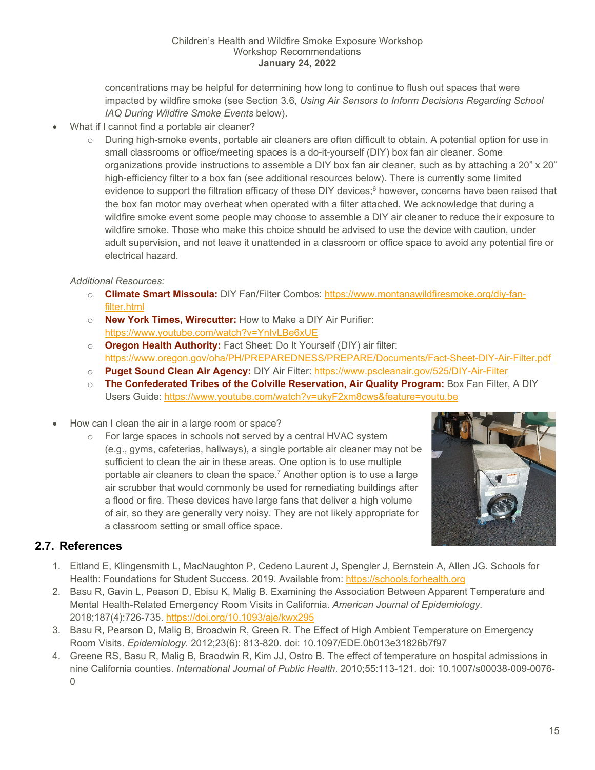concentrations may be helpful for determining how long to continue to flush out spaces that were impacted by wildfire smoke (see Section [3.6,](#page-19-1) *[Using Air Sensors to Inform Decisions Regarding School](#page-19-1)  [IAQ During Wildfire Smoke Events](#page-19-1)* below).

- What if I cannot find a portable air cleaner?
	- o During high-smoke events, portable air cleaners are often difficult to obtain. A potential option for use in small classrooms or office/meeting spaces is a do-it-yourself (DIY) box fan air cleaner. Some organizations provide instructions to assemble a DIY box fan air cleaner, such as by attaching a 20" x 20" high-efficiency filter to a box fan (see additional resources below). There is currently some limited evidence to support the filtration efficacy of these DIY devices;<sup>6</sup> however, concerns have been raised that the box fan motor may overheat when operated with a filter attached. We acknowledge that during a wildfire smoke event some people may choose to assemble a DIY air cleaner to reduce their exposure to wildfire smoke. Those who make this choice should be advised to use the device with caution, under adult supervision, and not leave it unattended in a classroom or office space to avoid any potential fire or electrical hazard.

#### *Additional Resources:*

- o **Climate Smart Missoula:** DIY Fan/Filter Combos: [https://www.montanawildfiresmoke.org/diy-fan](https://www.montanawildfiresmoke.org/diy-fan-filter.html)[filter.html](https://www.montanawildfiresmoke.org/diy-fan-filter.html)
- o **New York Times, Wirecutter:** How to Make a DIY Air Purifier: <https://www.youtube.com/watch?v=YnIvLBe6xUE>
- o **Oregon Health Authority:** Fact Sheet: Do It Yourself (DIY) air filter: <https://www.oregon.gov/oha/PH/PREPAREDNESS/PREPARE/Documents/Fact-Sheet-DIY-Air-Filter.pdf>
- o **Puget Sound Clean Air Agency:** DIY Air Filter:<https://www.pscleanair.gov/525/DIY-Air-Filter>
- o **The Confederated Tribes of the Colville Reservation, Air Quality Program:** Box Fan Filter, A DIY Users Guide:<https://www.youtube.com/watch?v=ukyF2xm8cws&feature=youtu.be>
- How can I clean the air in a large room or space?
	- o For large spaces in schools not served by a central HVAC system (e.g., gyms, cafeterias, hallways), a single portable air cleaner may not be sufficient to clean the air in these areas. One option is to use multiple portable air cleaners to clean the space.<sup>7</sup> Another option is to use a large air scrubber that would commonly be used for remediating buildings after a flood or fire. These devices have large fans that deliver a high volume of air, so they are generally very noisy. They are not likely appropriate for a classroom setting or small office space.



## <span id="page-14-0"></span>**2.7. References**

- 1. Eitland E, Klingensmith L, MacNaughton P, Cedeno Laurent J, Spengler J, Bernstein A, Allen JG. Schools for Health: Foundations for Student Success. 2019. Available from: [https://schools.forhealth.org](https://schools.forhealth.org/)
- 2. Basu R, Gavin L, Peason D, Ebisu K, Malig B. Examining the Association Between Apparent Temperature and Mental Health-Related Emergency Room Visits in California. *American Journal of Epidemiology.* 2018;187(4):726-735.<https://doi.org/10.1093/aje/kwx295>
- 3. Basu R, Pearson D, Malig B, Broadwin R, Green R. The Effect of High Ambient Temperature on Emergency Room Visits. *Epidemiology.* 2012;23(6): 813-820. doi: 10.1097/EDE.0b013e31826b7f97
- 4. Greene RS, Basu R, Malig B, Braodwin R, Kim JJ, Ostro B. The effect of temperature on hospital admissions in nine California counties. *International Journal of Public Health*. 2010;55:113-121. doi: 10.1007/s00038-009-0076- 0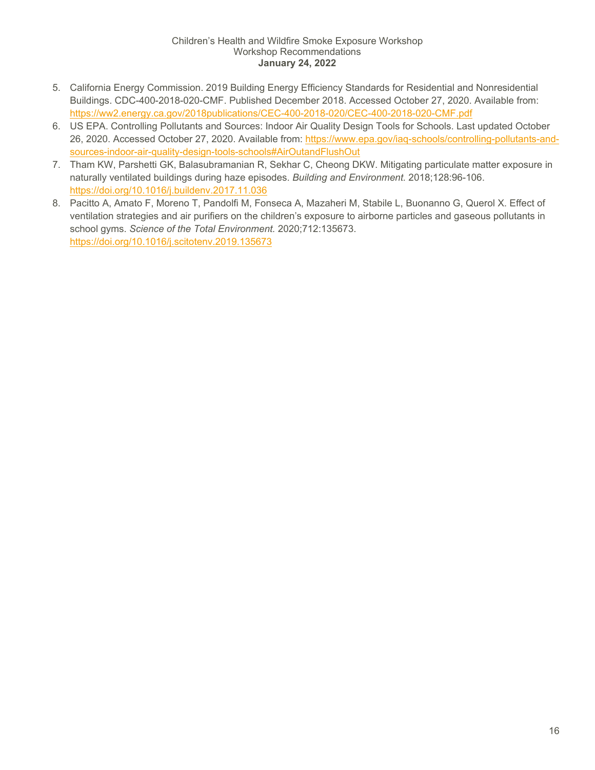- 5. California Energy Commission. 2019 Building Energy Efficiency Standards for Residential and Nonresidential Buildings. CDC-400-2018-020-CMF. Published December 2018. Accessed October 27, 2020. Available from: <https://ww2.energy.ca.gov/2018publications/CEC-400-2018-020/CEC-400-2018-020-CMF.pdf>
- 6. US EPA. Controlling Pollutants and Sources: Indoor Air Quality Design Tools for Schools. Last updated October 26, 2020. Accessed October 27, 2020. Available from: [https://www.epa.gov/iaq-schools/controlling-pollutants-and](https://www.epa.gov/iaq-schools/controlling-pollutants-and-sources-indoor-air-quality-design-tools-schools#AirOutandFlushOut)[sources-indoor-air-quality-design-tools-schools#AirOutandFlushOut](https://www.epa.gov/iaq-schools/controlling-pollutants-and-sources-indoor-air-quality-design-tools-schools#AirOutandFlushOut)
- 7. Tham KW, Parshetti GK, Balasubramanian R, Sekhar C, Cheong DKW. Mitigating particulate matter exposure in naturally ventilated buildings during haze episodes. *Building and Environment.* 2018;128:96-106. <https://doi.org/10.1016/j.buildenv.2017.11.036>
- 8. Pacitto A, Amato F, Moreno T, Pandolfi M, Fonseca A, Mazaheri M, Stabile L, Buonanno G, Querol X. Effect of ventilation strategies and air purifiers on the children's exposure to airborne particles and gaseous pollutants in school gyms. *Science of the Total Environment.* 2020;712:135673. <https://doi.org/10.1016/j.scitotenv.2019.135673>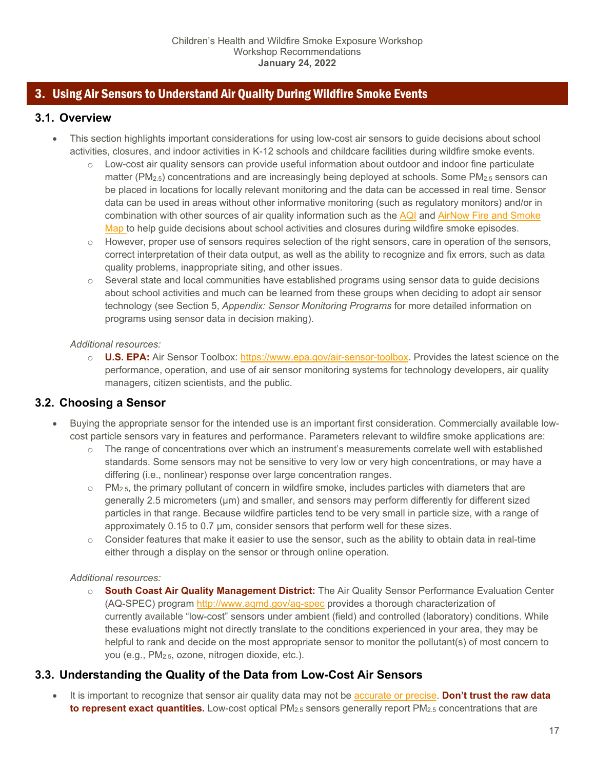## <span id="page-16-0"></span>3. Using Air Sensors to Understand Air Quality During Wildfire Smoke Events

## <span id="page-16-1"></span>**3.1. Overview**

- This section highlights important considerations for using low-cost air sensors to guide decisions about school activities, closures, and indoor activities in K-12 schools and childcare facilities during wildfire smoke events.
	- $\circ$  Low-cost air quality sensors can provide useful information about outdoor and indoor fine particulate matter ( $PM_{2.5}$ ) concentrations and are increasingly being deployed at schools. Some  $PM_{2.5}$  sensors can be placed in locations for locally relevant monitoring and the data can be accessed in real time. Sensor data can be used in areas without other informative monitoring (such as regulatory monitors) and/or in combination with other sources of air quality information such as the [AQI](https://www.airnow.gov/) and [AirNow Fire and Smoke](https://fire.airnow.gov/)  [Map t](https://fire.airnow.gov/)o help guide decisions about school activities and closures during wildfire smoke episodes.
	- $\circ$  However, proper use of sensors requires selection of the right sensors, care in operation of the sensors, correct interpretation of their data output, as well as the ability to recognize and fix errors, such as data quality problems, inappropriate siting, and other issues.
	- $\circ$  Several state and local communities have established programs using sensor data to guide decisions about school activities and much can be learned from these groups when deciding to adopt air sensor technology (see Section [5,](#page-28-0) *[Appendix: Sensor Monitoring Programs](#page-28-0)* for more detailed information on programs using sensor data in decision making).

#### *Additional resources:*

o **U.S. EPA:** Air Sensor Toolbox: [https://www.epa.gov/air-sensor-toolbox.](https://www.epa.gov/air-sensor-toolbox) Provides the latest science on the performance, operation, and use of air sensor monitoring systems for technology developers, air quality managers, citizen scientists, and the public.

## <span id="page-16-2"></span>**3.2. Choosing a Sensor**

- Buying the appropriate sensor for the intended use is an important first consideration. Commercially available lowcost particle sensors vary in features and performance. Parameters relevant to wildfire smoke applications are:
	- o The range of concentrations over which an instrument's measurements correlate well with established standards. Some sensors may not be sensitive to very low or very high concentrations, or may have a differing (i.e., nonlinear) response over large concentration ranges.
	- $\circ$  PM<sub>2.5</sub>, the primary pollutant of concern in wildfire smoke, includes particles with diameters that are generally 2.5 micrometers (µm) and smaller, and sensors may perform differently for different sized particles in that range. Because wildfire particles tend to be very small in particle size, with a range of approximately 0.15 to 0.7 µm, consider sensors that perform well for these sizes.
	- $\circ$  Consider features that make it easier to use the sensor, such as the ability to obtain data in real-time either through a display on the sensor or through online operation.

#### *Additional resources:*

o **South Coast Air Quality Management District:** The Air Quality Sensor Performance Evaluation Center (AQ-SPEC) program<http://www.aqmd.gov/aq-spec> provides a thorough characterization of currently available "low-cost" sensors under ambient (field) and controlled (laboratory) conditions. While these evaluations might not directly translate to the conditions experienced in your area, they may be helpful to rank and decide on the most appropriate sensor to monitor the pollutant(s) of most concern to you (e.g., PM2.5, ozone, nitrogen dioxide, etc.).

## <span id="page-16-3"></span>**3.3. Understanding the Quality of the Data from Low-Cost Air Sensors**

• It is important to recognize that sensor air quality data may not be [accurate or precise.](https://www.epa.gov/air-sensor-toolbox/how-use-air-sensors-air-sensor-guidebook#:%7E:text=Consider%20precision%20and,the%20true%20concentration.) **Don't trust the raw data to represent exact quantities.** Low-cost optical PM<sub>2.5</sub> sensors generally report PM<sub>2.5</sub> concentrations that are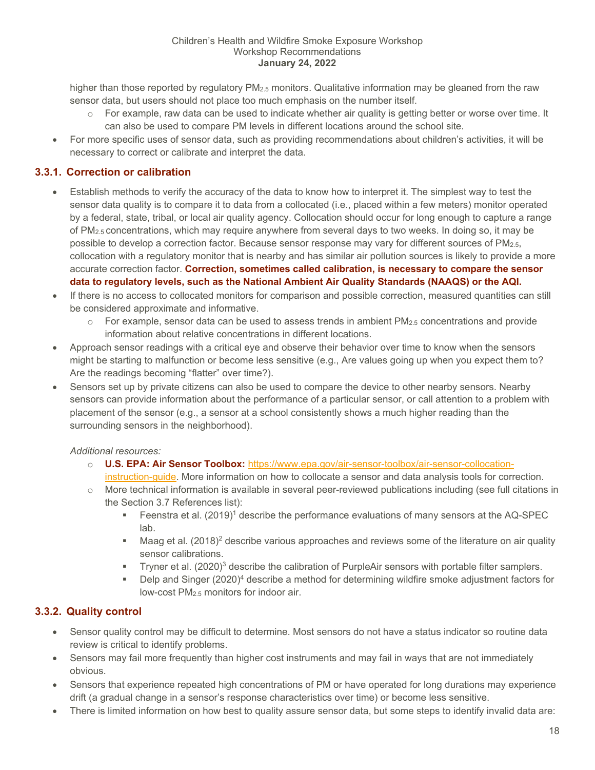higher than those reported by regulatory PM<sub>2.5</sub> monitors. Qualitative information may be gleaned from the raw sensor data, but users should not place too much emphasis on the number itself.

- $\circ$  For example, raw data can be used to indicate whether air quality is getting better or worse over time. It can also be used to compare PM levels in different locations around the school site.
- For more specific uses of sensor data, such as providing recommendations about children's activities, it will be necessary to correct or calibrate and interpret the data.

## <span id="page-17-0"></span>**3.3.1. Correction or calibration**

- Establish methods to verify the accuracy of the data to know how to interpret it. The simplest way to test the sensor data quality is to compare it to data from a collocated (i.e., placed within a few meters) monitor operated by a federal, state, tribal, or local air quality agency. Collocation should occur for long enough to capture a range of PM<sub>2.5</sub> concentrations, which may require anywhere from several days to two weeks. In doing so, it may be possible to develop a correction factor. Because sensor response may vary for different sources of PM2.5, collocation with a regulatory monitor that is nearby and has similar air pollution sources is likely to provide a more accurate correction factor. **Correction, sometimes called calibration, is necessary to compare the sensor data to regulatory levels, such as the National Ambient Air Quality Standards (NAAQS) or the AQI.**
- If there is no access to collocated monitors for comparison and possible correction, measured quantities can still be considered approximate and informative.
	- $\circ$  For example, sensor data can be used to assess trends in ambient PM<sub>2.5</sub> concentrations and provide information about relative concentrations in different locations.
- Approach sensor readings with a critical eye and observe their behavior over time to know when the sensors might be starting to malfunction or become less sensitive (e.g., Are values going up when you expect them to? Are the readings becoming "flatter" over time?).
- Sensors set up by private citizens can also be used to compare the device to other nearby sensors. Nearby sensors can provide information about the performance of a particular sensor, or call attention to a problem with placement of the sensor (e.g., a sensor at a school consistently shows a much higher reading than the surrounding sensors in the neighborhood).

#### *Additional resources:*

- o **U.S. EPA: Air Sensor Toolbox:** [https://www.epa.gov/air-sensor-toolbox/air-sensor-collocation](https://www.epa.gov/air-sensor-toolbox/air-sensor-collocation-instruction-guide)[instruction-guide.](https://www.epa.gov/air-sensor-toolbox/air-sensor-collocation-instruction-guide) More information on how to collocate a sensor and data analysis tools for correction.
- $\circ$  More technical information is available in several peer-reviewed publications including (see full citations in the Section [3.7](#page-21-0) [References](#page-21-0) list):
	- Feenstra et al.  $(2019)^1$  describe the performance evaluations of many sensors at the AQ-SPEC lab.
	- $\blacksquare$  Maag et al. (2018)<sup>2</sup> describe various approaches and reviews some of the literature on air quality sensor calibrations.
	- Tryner et al.  $(2020)^3$  describe the calibration of PurpleAir sensors with portable filter samplers.
	- **Delp and Singer (2020)<sup>4</sup> describe a method for determining wildfire smoke adjustment factors for** low-cost PM2.5 monitors for indoor air.

## <span id="page-17-1"></span>**3.3.2. Quality control**

- Sensor quality control may be difficult to determine. Most sensors do not have a status indicator so routine data review is critical to identify problems.
- Sensors may fail more frequently than higher cost instruments and may fail in ways that are not immediately obvious.
- Sensors that experience repeated high concentrations of PM or have operated for long durations may experience drift (a gradual change in a sensor's response characteristics over time) or become less sensitive.
- There is limited information on how best to quality assure sensor data, but some steps to identify invalid data are: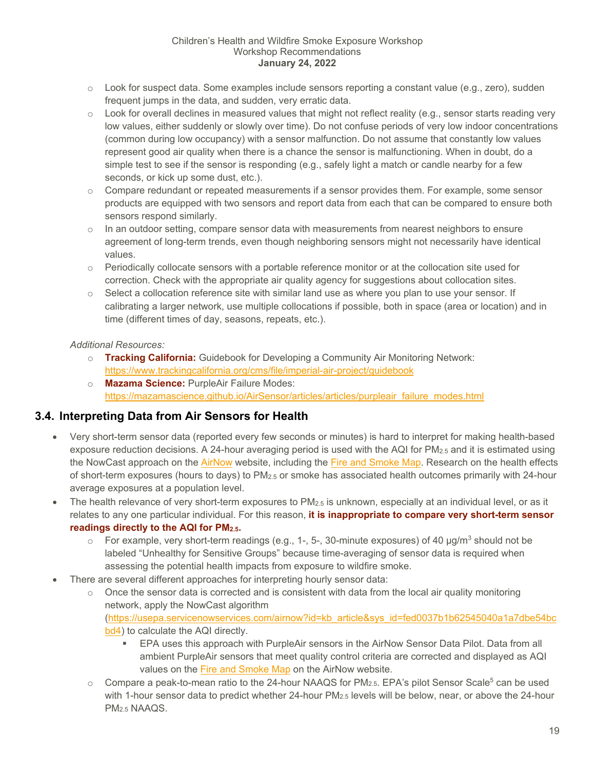- $\circ$  Look for suspect data. Some examples include sensors reporting a constant value (e.g., zero), sudden frequent jumps in the data, and sudden, very erratic data.
- $\circ$  Look for overall declines in measured values that might not reflect reality (e.g., sensor starts reading very low values, either suddenly or slowly over time). Do not confuse periods of very low indoor concentrations (common during low occupancy) with a sensor malfunction. Do not assume that constantly low values represent good air quality when there is a chance the sensor is malfunctioning. When in doubt, do a simple test to see if the sensor is responding (e.g., safely light a match or candle nearby for a few seconds, or kick up some dust, etc.).
- $\circ$  Compare redundant or repeated measurements if a sensor provides them. For example, some sensor products are equipped with two sensors and report data from each that can be compared to ensure both sensors respond similarly.
- $\circ$  In an outdoor setting, compare sensor data with measurements from nearest neighbors to ensure agreement of long-term trends, even though neighboring sensors might not necessarily have identical values.
- $\circ$  Periodically collocate sensors with a portable reference monitor or at the collocation site used for correction. Check with the appropriate air quality agency for suggestions about collocation sites.
- $\circ$  Select a collocation reference site with similar land use as where you plan to use your sensor. If calibrating a larger network, use multiple collocations if possible, both in space (area or location) and in time (different times of day, seasons, repeats, etc.).

## *Additional Resources:*

- o **Tracking California:** Guidebook for Developing a Community Air Monitoring Network: <https://www.trackingcalifornia.org/cms/file/imperial-air-project/guidebook>
- o **Mazama Science:** PurpleAir Failure Modes: [https://mazamascience.github.io/AirSensor/articles/articles/purpleair\\_failure\\_modes.html](https://mazamascience.github.io/AirSensor/articles/articles/purpleair_failure_modes.html)

## <span id="page-18-0"></span>**3.4. Interpreting Data from Air Sensors for Health**

- Very short-term sensor data (reported every few seconds or minutes) is hard to interpret for making health-based exposure reduction decisions. A 24-hour averaging period is used with the AQI for PM2.5 and it is estimated using the NowCast approach on the [AirNow](https://www.airnow.gov/) website, including the [Fire and Smoke Map.](https://fire.airnow.gov/) Research on the health effects of short-term exposures (hours to days) to PM2.5 or smoke has associated health outcomes primarily with 24-hour average exposures at a population level.
- The health relevance of very short-term exposures to PM<sub>2.5</sub> is unknown, especially at an individual level, or as it relates to any one particular individual. For this reason, **it is inappropriate to compare very short-term sensor readings directly to the AQI for PM2.5.**
	- $\circ$  For example, very short-term readings (e.g., 1-, 5-, 30-minute exposures) of 40  $\mu$ g/m<sup>3</sup> should not be labeled "Unhealthy for Sensitive Groups" because time-averaging of sensor data is required when assessing the potential health impacts from exposure to wildfire smoke.
- There are several different approaches for interpreting hourly sensor data:
	- $\circ$  Once the sensor data is corrected and is consistent with data from the local air quality monitoring network, apply the NowCast algorithm [\(https://usepa.servicenowservices.com/airnow?id=kb\\_article&sys\\_id=fed0037b1b62545040a1a7dbe54bc](https://usepa.servicenowservices.com/airnow?id=kb_article&sys_id=fed0037b1b62545040a1a7dbe54bcbd4) [bd4\)](https://usepa.servicenowservices.com/airnow?id=kb_article&sys_id=fed0037b1b62545040a1a7dbe54bcbd4) to calculate the AQI directly.
		- EPA uses this approach with PurpleAir sensors in the AirNow Sensor Data Pilot. Data from all ambient PurpleAir sensors that meet quality control criteria are corrected and displayed as AQI values on the [Fire and Smoke Map](https://fire.airnow.gov/) on the AirNow website.
	- $\circ$  Compare a peak-to-mean ratio to the 24-hour NAAQS for PM<sub>2.5</sub>. EPA's pilot Sensor Scale<sup>5</sup> can be used with 1-hour sensor data to predict whether 24-hour  $PM_{2.5}$  levels will be below, near, or above the 24-hour PM2.5 NAAQS.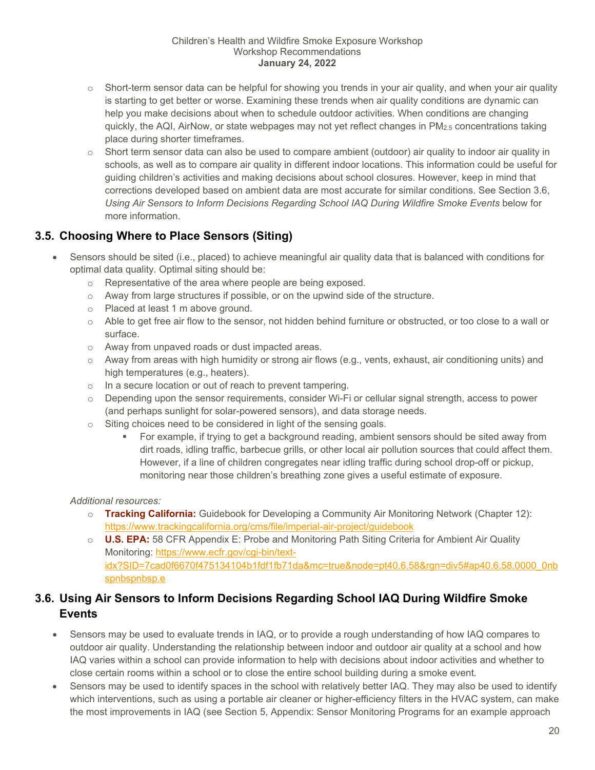- $\circ$  Short-term sensor data can be helpful for showing you trends in your air quality, and when your air quality is starting to get better or worse. Examining these trends when air quality conditions are dynamic can help you make decisions about when to schedule outdoor activities. When conditions are changing quickly, the AQI, AirNow, or state webpages may not yet reflect changes in PM2.5 concentrations taking place during shorter timeframes.
- o Short term sensor data can also be used to compare ambient (outdoor) air quality to indoor air quality in schools, as well as to compare air quality in different indoor locations. This information could be useful for guiding children's activities and making decisions about school closures. However, keep in mind that corrections developed based on ambient data are most accurate for similar conditions. See Section [3.6,](#page-19-1) [Using Air Sensors to Inform Decisions Regarding School IAQ During Wildfire Smoke Events](#page-19-1) below for more information.

## <span id="page-19-0"></span>**3.5. Choosing Where to Place Sensors (Siting)**

- Sensors should be sited (i.e., placed) to achieve meaningful air quality data that is balanced with conditions for optimal data quality. Optimal siting should be:
	- o Representative of the area where people are being exposed.
	- $\circ$  Away from large structures if possible, or on the upwind side of the structure.
	- o Placed at least 1 m above ground.
	- o Able to get free air flow to the sensor, not hidden behind furniture or obstructed, or too close to a wall or surface.
	- o Away from unpaved roads or dust impacted areas.
	- $\circ$  Away from areas with high humidity or strong air flows (e.g., vents, exhaust, air conditioning units) and high temperatures (e.g., heaters).
	- o In a secure location or out of reach to prevent tampering.
	- o Depending upon the sensor requirements, consider Wi-Fi or cellular signal strength, access to power (and perhaps sunlight for solar-powered sensors), and data storage needs.
	- o Siting choices need to be considered in light of the sensing goals.
		- For example, if trying to get a background reading, ambient sensors should be sited away from dirt roads, idling traffic, barbecue grills, or other local air pollution sources that could affect them. However, if a line of children congregates near idling traffic during school drop-off or pickup, monitoring near those children's breathing zone gives a useful estimate of exposure.

#### *Additional resources:*

- o **Tracking California:** Guidebook for Developing a Community Air Monitoring Network (Chapter 12): <https://www.trackingcalifornia.org/cms/file/imperial-air-project/guidebook>
- o **U.S. EPA:** 58 CFR Appendix E: Probe and Monitoring Path Siting Criteria for Ambient Air Quality Monitoring: [https://www.ecfr.gov/cgi-bin/text](https://www.ecfr.gov/cgi-bin/text-idx?SID=7cad0f6670f475134104b1fdf1fb71da&mc=true&node=pt40.6.58&rgn=div5#ap40.6.58.0000_0nbspnbspnbsp.e)[idx?SID=7cad0f6670f475134104b1fdf1fb71da&mc=true&node=pt40.6.58&rgn=div5#ap40.6.58.0000\\_0nb](https://www.ecfr.gov/cgi-bin/text-idx?SID=7cad0f6670f475134104b1fdf1fb71da&mc=true&node=pt40.6.58&rgn=div5#ap40.6.58.0000_0nbspnbspnbsp.e) [spnbspnbsp.e](https://www.ecfr.gov/cgi-bin/text-idx?SID=7cad0f6670f475134104b1fdf1fb71da&mc=true&node=pt40.6.58&rgn=div5#ap40.6.58.0000_0nbspnbspnbsp.e)

## <span id="page-19-1"></span>**3.6. Using Air Sensors to Inform Decisions Regarding School IAQ During Wildfire Smoke Events**

- Sensors may be used to evaluate trends in IAQ, or to provide a rough understanding of how IAQ compares to outdoor air quality. Understanding the relationship between indoor and outdoor air quality at a school and how IAQ varies within a school can provide information to help with decisions about indoor activities and whether to close certain rooms within a school or to close the entire school building during a smoke event.
- Sensors may be used to identify spaces in the school with relatively better IAQ. They may also be used to identify which interventions, such as using a portable air cleaner or higher-efficiency filters in the HVAC system, can make the most improvements in IAQ (see Section [5, Appendix: Sensor Monitoring Programs](#page-28-0) for an example approach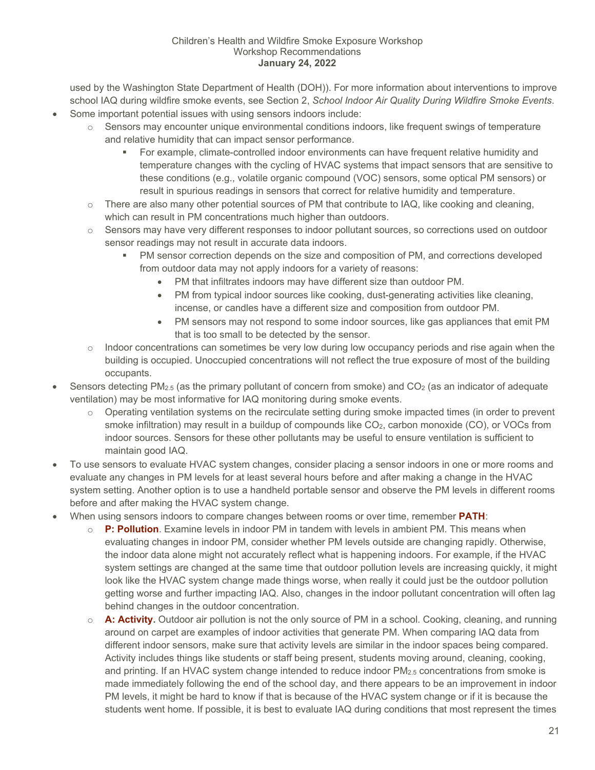used by the Washington State Department of Health (DOH)). For more information about interventions to improve school IAQ during wildfire smoke events, see Section [2,](#page-9-0) *[School Indoor Air Quality During Wildfire Smoke Events](#page-9-0)*.

- Some important potential issues with using sensors indoors include:
	- $\circ$  Sensors may encounter unique environmental conditions indoors, like frequent swings of temperature and relative humidity that can impact sensor performance.
		- For example, climate-controlled indoor environments can have frequent relative humidity and temperature changes with the cycling of HVAC systems that impact sensors that are sensitive to these conditions (e.g., volatile organic compound (VOC) sensors, some optical PM sensors) or result in spurious readings in sensors that correct for relative humidity and temperature.
	- $\circ$  There are also many other potential sources of PM that contribute to IAQ, like cooking and cleaning, which can result in PM concentrations much higher than outdoors.
	- $\circ$  Sensors may have very different responses to indoor pollutant sources, so corrections used on outdoor sensor readings may not result in accurate data indoors.
		- PM sensor correction depends on the size and composition of PM, and corrections developed from outdoor data may not apply indoors for a variety of reasons:
			- PM that infiltrates indoors may have different size than outdoor PM.
			- PM from typical indoor sources like cooking, dust-generating activities like cleaning, incense, or candles have a different size and composition from outdoor PM.
			- PM sensors may not respond to some indoor sources, like gas appliances that emit PM that is too small to be detected by the sensor.
	- $\circ$  Indoor concentrations can sometimes be very low during low occupancy periods and rise again when the building is occupied. Unoccupied concentrations will not reflect the true exposure of most of the building occupants.
- Sensors detecting  $PM_{2.5}$  (as the primary pollutant of concern from smoke) and  $CO<sub>2</sub>$  (as an indicator of adequate ventilation) may be most informative for IAQ monitoring during smoke events.
	- o Operating ventilation systems on the recirculate setting during smoke impacted times (in order to prevent smoke infiltration) may result in a buildup of compounds like  $CO<sub>2</sub>$ , carbon monoxide (CO), or VOCs from indoor sources. Sensors for these other pollutants may be useful to ensure ventilation is sufficient to maintain good IAQ.
- To use sensors to evaluate HVAC system changes, consider placing a sensor indoors in one or more rooms and evaluate any changes in PM levels for at least several hours before and after making a change in the HVAC system setting. Another option is to use a handheld portable sensor and observe the PM levels in different rooms before and after making the HVAC system change.
- When using sensors indoors to compare changes between rooms or over time, remember **PATH**:
	- o **P: Pollution**. Examine levels in indoor PM in tandem with levels in ambient PM. This means when evaluating changes in indoor PM, consider whether PM levels outside are changing rapidly. Otherwise, the indoor data alone might not accurately reflect what is happening indoors. For example, if the HVAC system settings are changed at the same time that outdoor pollution levels are increasing quickly, it might look like the HVAC system change made things worse, when really it could just be the outdoor pollution getting worse and further impacting IAQ. Also, changes in the indoor pollutant concentration will often lag behind changes in the outdoor concentration.
	- o **A: Activity.** Outdoor air pollution is not the only source of PM in a school. Cooking, cleaning, and running around on carpet are examples of indoor activities that generate PM. When comparing IAQ data from different indoor sensors, make sure that activity levels are similar in the indoor spaces being compared. Activity includes things like students or staff being present, students moving around, cleaning, cooking, and printing. If an HVAC system change intended to reduce indoor PM2.5 concentrations from smoke is made immediately following the end of the school day, and there appears to be an improvement in indoor PM levels, it might be hard to know if that is because of the HVAC system change or if it is because the students went home. If possible, it is best to evaluate IAQ during conditions that most represent the times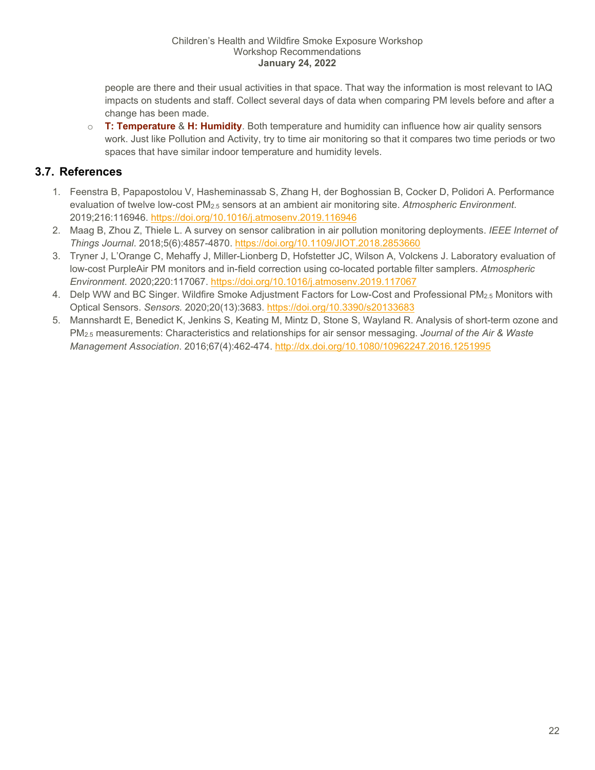people are there and their usual activities in that space. That way the information is most relevant to IAQ impacts on students and staff. Collect several days of data when comparing PM levels before and after a change has been made.

o **T: Temperature** & **H: Humidity**. Both temperature and humidity can influence how air quality sensors work. Just like Pollution and Activity, try to time air monitoring so that it compares two time periods or two spaces that have similar indoor temperature and humidity levels.

## <span id="page-21-0"></span>**3.7. References**

- 1. Feenstra B, Papapostolou V, Hasheminassab S, Zhang H, der Boghossian B, Cocker D, Polidori A. Performance evaluation of twelve low-cost PM2.5 sensors at an ambient air monitoring site. *Atmospheric Environment*. 2019;216:116946.<https://doi.org/10.1016/j.atmosenv.2019.116946>
- 2. Maag B, Zhou Z, Thiele L. A survey on sensor calibration in air pollution monitoring deployments. *IEEE Internet of Things Journal*. 2018;5(6):4857-4870.<https://doi.org/10.1109/JIOT.2018.2853660>
- 3. Tryner J, L'Orange C, Mehaffy J, Miller-Lionberg D, Hofstetter JC, Wilson A, Volckens J. Laboratory evaluation of low-cost PurpleAir PM monitors and in-field correction using co-located portable filter samplers. *Atmospheric Environment*. 2020;220:117067.<https://doi.org/10.1016/j.atmosenv.2019.117067>
- 4. Delp WW and BC Singer. Wildfire Smoke Adjustment Factors for Low-Cost and Professional PM2.5 Monitors with Optical Sensors. *Sensors.* 2020;20(13):3683.<https://doi.org/10.3390/s20133683>
- 5. Mannshardt E, Benedict K, Jenkins S, Keating M, Mintz D, Stone S, Wayland R. Analysis of short-term ozone and PM2.5 measurements: Characteristics and relationships for air sensor messaging. *Journal of the Air & Waste Management Association*. 2016;67(4):462-474.<http://dx.doi.org/10.1080/10962247.2016.1251995>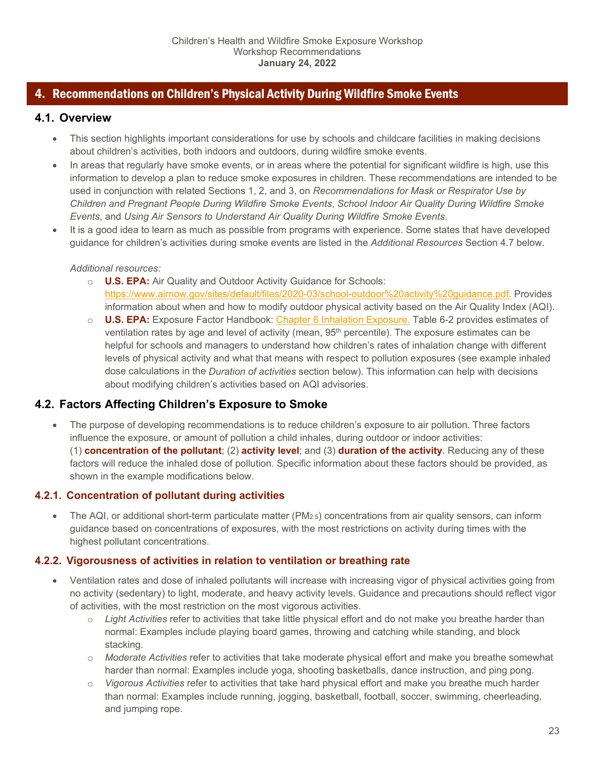## <span id="page-22-0"></span>4. Recommendations on Children's Physical Activity During Wildfire Smoke Events

## <span id="page-22-1"></span>**4.1. Overview**

- This section highlights important considerations for use by schools and childcare facilities in making decisions about children's activities, both indoors and outdoors, during wildfire smoke events.
- In areas that regularly have smoke events, or in areas where the potential for significant wildfire is high, use this information to develop a plan to reduce smoke exposures in children. These recommendations are intended to be used in conjunction with related Sections [1,](#page-4-1) [2,](#page-9-0) and [3,](#page-16-0) on *[Recommendations for Mask or Respirator Use by](#page-4-1)  [Children and Pregnant People During Wildfire Smoke Events](#page-4-1)*, *[School Indoor Air Quality During Wildfire Smoke](#page-9-0)  [Events](#page-9-0)*, and *[Using Air Sensors to Understand Air Quality During Wildfire Smoke Events](#page-16-0)*.
- It is a good idea to learn as much as possible from programs with experience. Some states that have developed guidance for children's activities during smoke events are listed in the *[Additional Resources](#page-26-1)* Section [4.7](#page-26-1) below.

## *Additional resources:*

- o **U.S. EPA:** Air Quality and Outdoor Activity Guidance for Schools: [https://www.airnow.gov/sites/default/files/2020-03/school-outdoor%20activity%20guidance.pdf.](https://www.airnow.gov/sites/default/files/2020-03/school-outdoor%20activity%20guidance.pdf) Provides information about when and how to modify outdoor physical activity based on the Air Quality Index (AQI).
- o **U.S. EPA:** Exposure Factor Handbook: [Chapter 6 Inhalation Exposure.](https://www.epa.gov/expobox/exposure-factors-handbook-chapter-6) Table 6-2 provides estimates of ventilation rates by age and level of activity (mean, 95<sup>th</sup> percentile). The exposure estimates can be helpful for schools and managers to understand how children's rates of inhalation change with different levels of physical activity and what that means with respect to pollution exposures (see example inhaled dose calculations in the *[Duration of activities](#page-23-0)* section below). This information can help with decisions about modifying children's activities based on AQI advisories.

## <span id="page-22-2"></span>**4.2. Factors Affecting Children's Exposure to Smoke**

• The purpose of developing recommendations is to reduce children's exposure to air pollution. Three factors influence the exposure, or amount of pollution a child inhales, during outdoor or indoor activities: (1) **concentration of the pollutant**; (2) **activity level**; and (3) **duration of the activity**. Reducing any of these factors will reduce the inhaled dose of pollution. Specific information about these factors should be provided, as shown in the example modifications below.

## <span id="page-22-3"></span>**4.2.1. Concentration of pollutant during activities**

• The AQI, or additional short-term particulate matter (PM2.5) concentrations from air quality sensors, can inform guidance based on concentrations of exposures, with the most restrictions on activity during times with the highest pollutant concentrations.

## <span id="page-22-4"></span>**4.2.2. Vigorousness of activities in relation to ventilation or breathing rate**

- Ventilation rates and dose of inhaled pollutants will increase with increasing vigor of physical activities going from no activity (sedentary) to light, moderate, and heavy activity levels. Guidance and precautions should reflect vigor of activities, with the most restriction on the most vigorous activities.
	- o *Light Activities* refer to activities that take little physical effort and do not make you breathe harder than normal: Examples include playing board games, throwing and catching while standing, and block stacking.
	- o *Moderate Activities* refer to activities that take moderate physical effort and make you breathe somewhat harder than normal: Examples include yoga, shooting basketballs, dance instruction, and ping pong.
	- o *Vigorous Activities* refer to activities that take hard physical effort and make you breathe much harder than normal: Examples include running, jogging, basketball, football, soccer, swimming, cheerleading, and jumping rope.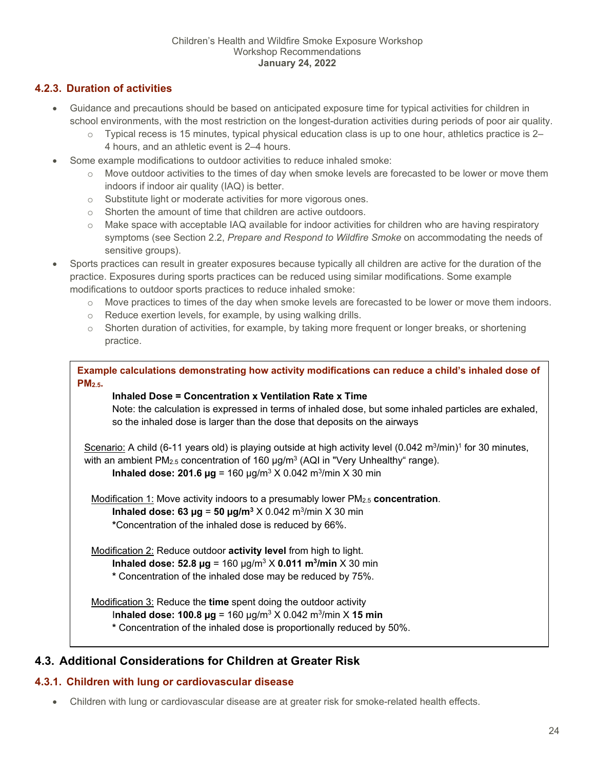## <span id="page-23-0"></span>**4.2.3. Duration of activities**

- Guidance and precautions should be based on anticipated exposure time for typical activities for children in school environments, with the most restriction on the longest-duration activities during periods of poor air quality.
	- $\circ$  Typical recess is 15 minutes, typical physical education class is up to one hour, athletics practice is 2– 4 hours, and an athletic event is 2–4 hours.
- Some example modifications to outdoor activities to reduce inhaled smoke:
	- $\circ$  Move outdoor activities to the times of day when smoke levels are forecasted to be lower or move them indoors if indoor air quality (IAQ) is better.
	- o Substitute light or moderate activities for more vigorous ones.
	- o Shorten the amount of time that children are active outdoors.
	- o Make space with acceptable IAQ available for indoor activities for children who are having respiratory symptoms (see Section [2.2,](#page-9-2) *[Prepare and Respond to Wildfire Smoke](#page-9-2)* on accommodating the needs of sensitive groups).
- Sports practices can result in greater exposures because typically all children are active for the duration of the practice. Exposures during sports practices can be reduced using similar modifications. Some example modifications to outdoor sports practices to reduce inhaled smoke:
	- $\circ$  Move practices to times of the day when smoke levels are forecasted to be lower or move them indoors.
	- o Reduce exertion levels, for example, by using walking drills.
	- $\circ$  Shorten duration of activities, for example, by taking more frequent or longer breaks, or shortening practice.

**Example calculations demonstrating how activity modifications can reduce a child's inhaled dose of PM2.5.** 

#### **Inhaled Dose = Concentration x Ventilation Rate x Time**

Note: the calculation is expressed in terms of inhaled dose, but some inhaled particles are exhaled, so the inhaled dose is larger than the dose that deposits on the airways

Scenario: A child (6-11 years old) is playing outside at high activity level (0.042 m<sup>3</sup>/min)<sup>1</sup> for 30 minutes, with an ambient PM<sub>2.5</sub> concentration of 160  $\mu$ g/m<sup>3</sup> (AQI in "Very Unhealthy" range). **Inhaled dose: 201.6**  $\mu$ **g** = 160  $\mu$ g/m<sup>3</sup> X 0.042 m<sup>3</sup>/min X 30 min

Modification 1: Move activity indoors to a presumably lower PM2.5 **concentration**. **Inhaled dose: 63**  $\mu$ **g = 50**  $\mu$ **g/m<sup>3</sup> X 0.042 m<sup>3</sup>/min X 30 min \***Concentration of the inhaled dose is reduced by 66%.

Modification 2: Reduce outdoor **activity level** from high to light. **Inhaled dose: 52.8 µg** = 160 µg/m3 X **0.011 m3/min** X 30 min **\*** Concentration of the inhaled dose may be reduced by 75%.

Modification 3: Reduce the **time** spent doing the outdoor activity I**nhaled dose: 100.8 µg** = 160 µg/m3 X 0.042 m3/min X **15 min \*** Concentration of the inhaled dose is proportionally reduced by 50%.

## <span id="page-23-1"></span>**4.3. Additional Considerations for Children at Greater Risk**

## <span id="page-23-2"></span>**4.3.1. Children with lung or cardiovascular disease**

• Children with lung or cardiovascular disease are at greater risk for smoke-related health effects.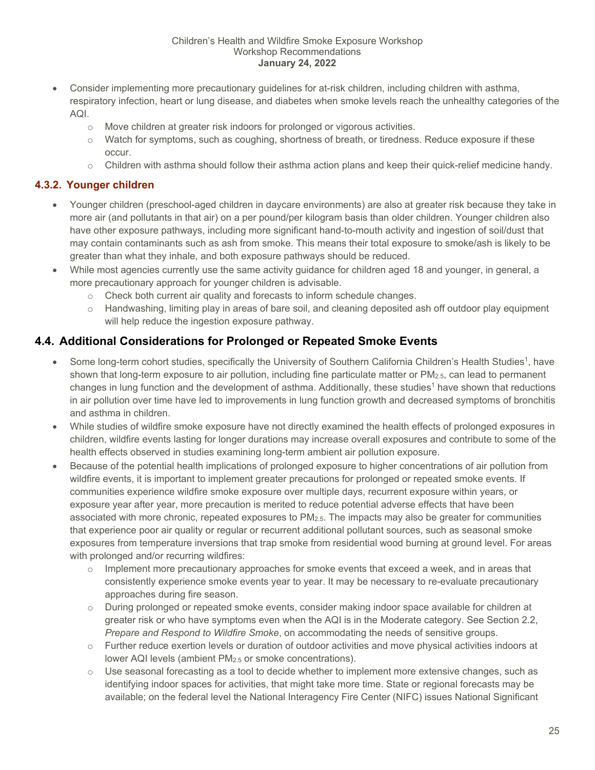- Consider implementing more precautionary guidelines for at-risk children, including children with asthma, respiratory infection, heart or lung disease, and diabetes when smoke levels reach the unhealthy categories of the AQI.
	- o Move children at greater risk indoors for prolonged or vigorous activities.
	- o Watch for symptoms, such as coughing, shortness of breath, or tiredness. Reduce exposure if these occur.
	- o Children with asthma should follow their asthma action plans and keep their quick-relief medicine handy.

## <span id="page-24-0"></span>**4.3.2. Younger children**

- Younger children (preschool-aged children in daycare environments) are also at greater risk because they take in more air (and pollutants in that air) on a per pound/per kilogram basis than older children. Younger children also have other exposure pathways, including more significant hand-to-mouth activity and ingestion of soil/dust that may contain contaminants such as ash from smoke. This means their total exposure to smoke/ash is likely to be greater than what they inhale, and both exposure pathways should be reduced.
- While most agencies currently use the same activity guidance for children aged 18 and younger, in general, a more precautionary approach for younger children is advisable.
	- $\circ$  Check both current air quality and forecasts to inform schedule changes.
	- $\circ$  Handwashing, limiting play in areas of bare soil, and cleaning deposited ash off outdoor play equipment will help reduce the ingestion exposure pathway.

## <span id="page-24-1"></span>**4.4. Additional Considerations for Prolonged or Repeated Smoke Events**

- Some long-term cohort studies, specifically the University of Southern California Children's Health Studies<sup>1</sup>, have shown that long-term exposure to air pollution, including fine particulate matter or PM<sub>2.5</sub>, can lead to permanent changes in lung function and the development of asthma. Additionally, these studies<sup>1</sup> have shown that reductions in air pollution over time have led to improvements in lung function growth and decreased symptoms of bronchitis and asthma in children.
- While studies of wildfire smoke exposure have not directly examined the health effects of prolonged exposures in children, wildfire events lasting for longer durations may increase overall exposures and contribute to some of the health effects observed in studies examining long-term ambient air pollution exposure.
- Because of the potential health implications of prolonged exposure to higher concentrations of air pollution from wildfire events, it is important to implement greater precautions for prolonged or repeated smoke events. If communities experience wildfire smoke exposure over multiple days, recurrent exposure within years, or exposure year after year, more precaution is merited to reduce potential adverse effects that have been associated with more chronic, repeated exposures to PM2.5. The impacts may also be greater for communities that experience poor air quality or regular or recurrent additional pollutant sources, such as seasonal smoke exposures from temperature inversions that trap smoke from residential wood burning at ground level. For areas with prolonged and/or recurring wildfires:
	- $\circ$  Implement more precautionary approaches for smoke events that exceed a week, and in areas that consistently experience smoke events year to year. It may be necessary to re-evaluate precautionary approaches during fire season.
	- o During prolonged or repeated smoke events, consider making indoor space available for children at greater risk or who have symptoms even when the AQI is in the Moderate category. See Section [2.2,](#page-9-2) *[Prepare and Respond to Wildfire Smoke](#page-9-2)*, on accommodating the needs of sensitive groups.
	- o Further reduce exertion levels or duration of outdoor activities and move physical activities indoors at lower AQI levels (ambient PM<sub>2.5</sub> or smoke concentrations).
	- $\circ$  Use seasonal forecasting as a tool to decide whether to implement more extensive changes, such as identifying indoor spaces for activities, that might take more time. State or regional forecasts may be available; on the federal level the National Interagency Fire Center (NIFC) issues National Significant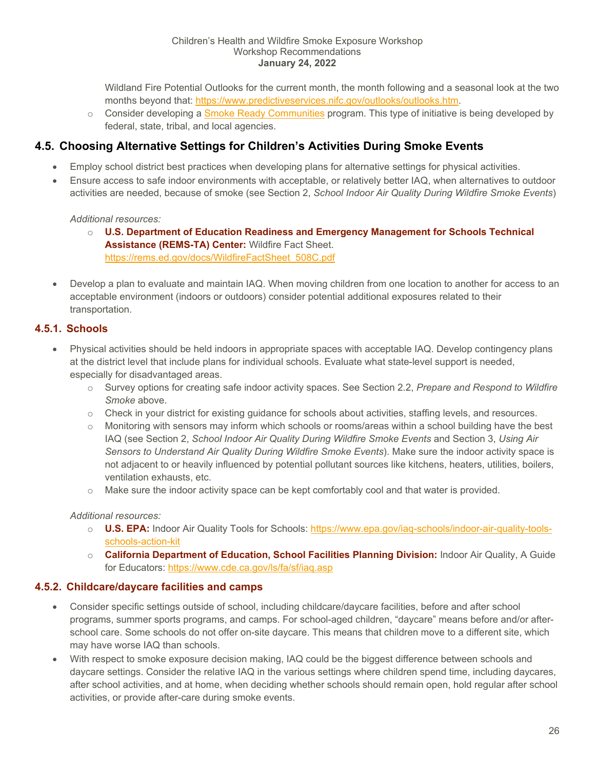Wildland Fire Potential Outlooks for the current month, the month following and a seasonal look at the two months beyond that: [https://www.predictiveservices.nifc.gov/outlooks/outlooks.htm.](https://www.predictiveservices.nifc.gov/outlooks/outlooks.htm)

 $\circ$  Consider developing a [Smoke Ready Communities](https://www.wildlandfiresmoke.us/smoke-ready) program. This type of initiative is being developed by federal, state, tribal, and local agencies.

## <span id="page-25-0"></span>**4.5. Choosing Alternative Settings for Children's Activities During Smoke Events**

- Employ school district best practices when developing plans for alternative settings for physical activities.
- Ensure access to safe indoor environments with acceptable, or relatively better IAQ, when alternatives to outdoor activities are needed, because of smoke (see Section [2,](#page-9-0) *[School Indoor Air Quality During Wildfire Smoke Events](#page-9-0)*)

#### *Additional resources:*

- o **U.S. Department of Education Readiness and Emergency Management for Schools Technical Assistance (REMS-TA) Center:** Wildfire Fact Sheet. [https://rems.ed.gov/docs/WildfireFactSheet\\_508C.pdf](https://rems.ed.gov/docs/WildfireFactSheet_508C.pdf)
- Develop a plan to evaluate and maintain IAQ. When moving children from one location to another for access to an acceptable environment (indoors or outdoors) consider potential additional exposures related to their transportation.

## <span id="page-25-1"></span>**4.5.1. Schools**

- Physical activities should be held indoors in appropriate spaces with acceptable IAQ. Develop contingency plans at the district level that include plans for individual schools. Evaluate what state-level support is needed, especially for disadvantaged areas.
	- o Survey options for creating safe indoor activity spaces. See Section [2.2,](#page-9-2) *[Prepare and Respond to Wildfire](#page-9-2)  [Smoke](#page-9-2)* above.
	- $\circ$  Check in your district for existing guidance for schools about activities, staffing levels, and resources.
	- $\circ$  Monitoring with sensors may inform which schools or rooms/areas within a school building have the best IAQ (see Section [2,](#page-9-0) *[School Indoor Air Quality During Wildfire Smoke Events](#page-9-0)* and Section [3,](#page-16-0) *[Using Air](#page-16-0)  [Sensors to Understand Air Quality During Wildfire Smoke Events](#page-16-0)*). Make sure the indoor activity space is not adjacent to or heavily influenced by potential pollutant sources like kitchens, heaters, utilities, boilers, ventilation exhausts, etc.
	- $\circ$  Make sure the indoor activity space can be kept comfortably cool and that water is provided.

#### *Additional resources:*

- o **U.S. EPA:** Indoor Air Quality Tools for Schools: [https://www.epa.gov/iaq-schools/indoor-air-quality-tools](https://www.epa.gov/iaq-schools/indoor-air-quality-tools-schools-action-kit)[schools-action-kit](https://www.epa.gov/iaq-schools/indoor-air-quality-tools-schools-action-kit)
- o **California Department of Education, School Facilities Planning Division:** Indoor Air Quality, A Guide for Educators: <https://www.cde.ca.gov/ls/fa/sf/iaq.asp>

## <span id="page-25-2"></span>**4.5.2. Childcare/daycare facilities and camps**

- Consider specific settings outside of school, including childcare/daycare facilities, before and after school programs, summer sports programs, and camps. For school-aged children, "daycare" means before and/or afterschool care. Some schools do not offer on-site daycare. This means that children move to a different site, which may have worse IAQ than schools.
- With respect to smoke exposure decision making, IAQ could be the biggest difference between schools and daycare settings. Consider the relative IAQ in the various settings where children spend time, including daycares, after school activities, and at home, when deciding whether schools should remain open, hold regular after school activities, or provide after-care during smoke events.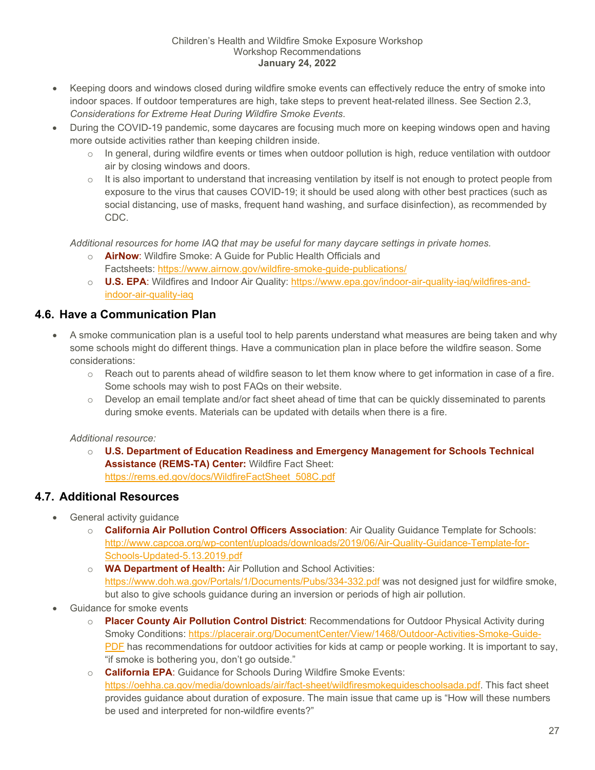- Keeping doors and windows closed during wildfire smoke events can effectively reduce the entry of smoke into indoor spaces. If outdoor temperatures are high, take steps to prevent heat-related illness. See Section [2.3,](#page-12-0) *[Considerations for Extreme Heat During Wildfire Smoke Events](#page-12-0)*.
- During the COVID-19 pandemic, some daycares are focusing much more on keeping windows open and having more outside activities rather than keeping children inside.
	- $\circ$  In general, during wildfire events or times when outdoor pollution is high, reduce ventilation with outdoor air by closing windows and doors.
	- $\circ$  It is also important to understand that increasing ventilation by itself is not enough to protect people from exposure to the virus that causes COVID-19; it should be used along with other best practices (such as social distancing, use of masks, frequent hand washing, and surface disinfection), as recommended by CDC.

*Additional resources for home IAQ that may be useful for many daycare settings in private homes.* 

- o **AirNow**: Wildfire Smoke: A Guide for Public Health Officials and Factsheets: <https://www.airnow.gov/wildfire-smoke-guide-publications/>
- o **U.S. EPA**: Wildfires and Indoor Air Quality: [https://www.epa.gov/indoor-air-quality-iaq/wildfires-and](https://www.epa.gov/indoor-air-quality-iaq/wildfires-and-indoor-air-quality-iaq)[indoor-air-quality-iaq](https://www.epa.gov/indoor-air-quality-iaq/wildfires-and-indoor-air-quality-iaq)

## <span id="page-26-0"></span>**4.6. Have a Communication Plan**

- A smoke communication plan is a useful tool to help parents understand what measures are being taken and why some schools might do different things. Have a communication plan in place before the wildfire season. Some considerations:
	- o Reach out to parents ahead of wildfire season to let them know where to get information in case of a fire. Some schools may wish to post FAQs on their website.
	- $\circ$  Develop an email template and/or fact sheet ahead of time that can be quickly disseminated to parents during smoke events. Materials can be updated with details when there is a fire.

## *Additional resource:*

o **U.S. Department of Education Readiness and Emergency Management for Schools Technical Assistance (REMS-TA) Center:** Wildfire Fact Sheet: [https://rems.ed.gov/docs/WildfireFactSheet\\_508C.pdf](https://rems.ed.gov/docs/WildfireFactSheet_508C.pdf)

## <span id="page-26-1"></span>**4.7. Additional Resources**

- General activity guidance
	- o **California Air Pollution Control Officers Association**: Air Quality Guidance Template for Schools: [http://www.capcoa.org/wp-content/uploads/downloads/2019/06/Air-Quality-Guidance-Template-for-](http://www.capcoa.org/wp-content/uploads/downloads/2019/06/Air-Quality-Guidance-Template-for-Schools-Updated-5.13.2019.pdf)[Schools-Updated-5.13.2019.pdf](http://www.capcoa.org/wp-content/uploads/downloads/2019/06/Air-Quality-Guidance-Template-for-Schools-Updated-5.13.2019.pdf)
	- o **WA Department of Health:** Air Pollution and School Activities: <https://www.doh.wa.gov/Portals/1/Documents/Pubs/334-332.pdf> was not designed just for wildfire smoke, but also to give schools guidance during an inversion or periods of high air pollution.
- Guidance for smoke events
	- o **Placer County Air Pollution Control District**: Recommendations for Outdoor Physical Activity during Smoky Conditions: [https://placerair.org/DocumentCenter/View/1468/Outdoor-Activities-Smoke-Guide-](https://placerair.org/DocumentCenter/View/1468/Outdoor-Activities-Smoke-Guide-PDF)[PDF](https://placerair.org/DocumentCenter/View/1468/Outdoor-Activities-Smoke-Guide-PDF) has recommendations for outdoor activities for kids at camp or people working. It is important to say, "if smoke is bothering you, don't go outside."
	- o **California EPA**: Guidance for Schools During Wildfire Smoke Events: [https://oehha.ca.gov/media/downloads/air/fact-sheet/wildfiresmokeguideschoolsada.pdf.](https://oehha.ca.gov/media/downloads/air/fact-sheet/wildfiresmokeguideschoolsada.pdf) This fact sheet provides guidance about duration of exposure. The main issue that came up is "How will these numbers be used and interpreted for non-wildfire events?"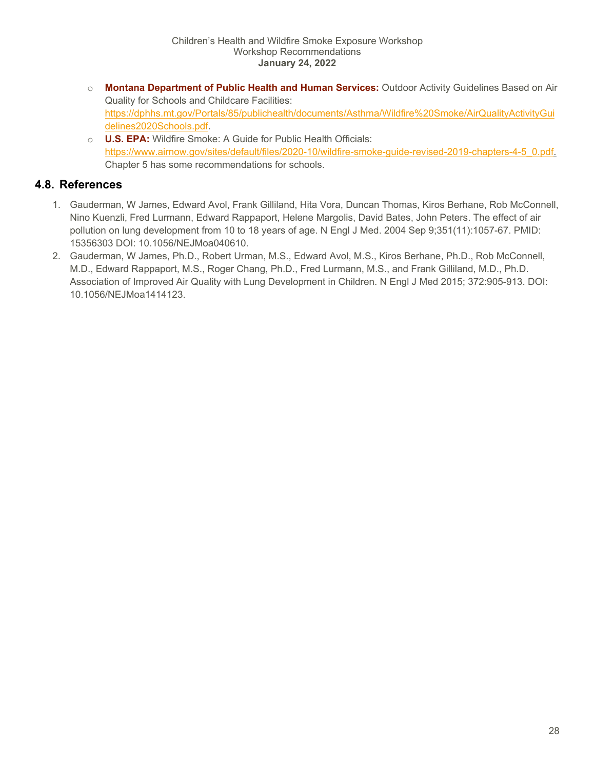- o **Montana Department of Public Health and Human Services:** Outdoor Activity Guidelines Based on Air Quality for Schools and Childcare Facilities: [https://dphhs.mt.gov/Portals/85/publichealth/documents/Asthma/Wildfire%20Smoke/AirQualityActivityGui](https://dphhs.mt.gov/Portals/85/publichealth/documents/Asthma/Wildfire%20Smoke/AirQualityActivityGuidelines2020Schools.pdf) [delines2020Schools.pdf.](https://dphhs.mt.gov/Portals/85/publichealth/documents/Asthma/Wildfire%20Smoke/AirQualityActivityGuidelines2020Schools.pdf)
- o **U.S. EPA:** Wildfire Smoke: A Guide for Public Health Officials: [https://www.airnow.gov/sites/default/files/2020-10/wildfire-smoke-guide-revised-2019-chapters-4-5\\_0.pdf.](https://www.airnow.gov/sites/default/files/2020-10/wildfire-smoke-guide-revised-2019-chapters-4-5_0.pdf) Chapter 5 has some recommendations for schools.

## <span id="page-27-0"></span>**4.8. References**

- 1. Gauderman, W James, Edward Avol, Frank Gilliland, Hita Vora, Duncan Thomas, Kiros Berhane, Rob McConnell, Nino Kuenzli, Fred Lurmann, Edward Rappaport, Helene Margolis, David Bates, John Peters. The effect of air pollution on lung development from 10 to 18 years of age. N Engl J Med. 2004 Sep 9;351(11):1057-67. PMID: 15356303 DOI: 10.1056/NEJMoa040610.
- 2. Gauderman, W James, Ph.D., Robert Urman, M.S., Edward Avol, M.S., Kiros Berhane, Ph.D., Rob McConnell, M.D., Edward Rappaport, M.S., Roger Chang, Ph.D., Fred Lurmann, M.S., and Frank Gilliland, M.D., Ph.D. Association of Improved Air Quality with Lung Development in Children. N Engl J Med 2015; 372:905-913. DOI: 10.1056/NEJMoa1414123.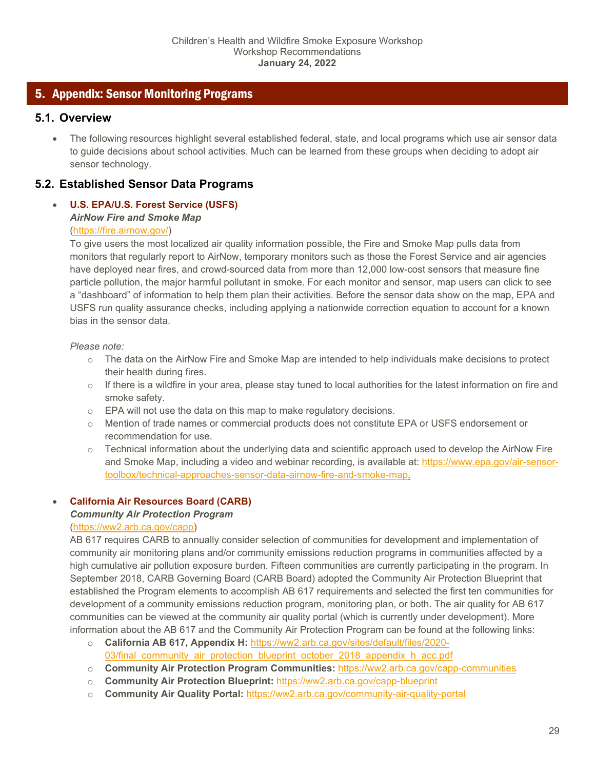## <span id="page-28-0"></span>5. Appendix: Sensor Monitoring Programs

## <span id="page-28-1"></span>**5.1. Overview**

• The following resources highlight several established federal, state, and local programs which use air sensor data to guide decisions about school activities. Much can be learned from these groups when deciding to adopt air sensor technology.

## <span id="page-28-2"></span>**5.2. Established Sensor Data Programs**

## • **U.S. EPA/U.S. Forest Service (USFS)**  *AirNow Fire and Smoke Map*

#### [\(https://fire.airnow.gov/\)](https://fire.airnow.gov/)

To give users the most localized air quality information possible, the Fire and Smoke Map pulls data from monitors that regularly report to AirNow, temporary monitors such as those the Forest Service and air agencies have deployed near fires, and crowd-sourced data from more than 12,000 low-cost sensors that measure fine particle pollution, the major harmful pollutant in smoke. For each monitor and sensor, map users can click to see a "dashboard" of information to help them plan their activities. Before the sensor data show on the map, EPA and USFS run quality assurance checks, including applying a nationwide correction equation to account for a known bias in the sensor data.

#### *Please note:*

- $\circ$  The data on the AirNow Fire and Smoke Map are intended to help individuals make decisions to protect their health during fires.
- o If there is a wildfire in your area, please stay tuned to local authorities for the latest information on fire and smoke safety.
- o EPA will not use the data on this map to make regulatory decisions.
- o Mention of trade names or commercial products does not constitute EPA or USFS endorsement or recommendation for use.
- $\circ$  Technical information about the underlying data and scientific approach used to develop the AirNow Fire and Smoke Map, including a video and webinar recording, is available at: [https://www.epa.gov/air-sensor](https://www.epa.gov/air-sensor-toolbox/technical-approaches-sensor-data-airnow-fire-and-smoke-map)[toolbox/technical-approaches-sensor-data-airnow-fire-and-smoke-map.](https://www.epa.gov/air-sensor-toolbox/technical-approaches-sensor-data-airnow-fire-and-smoke-map)

## • **California Air Resources Board (CARB)**

## *Community Air Protection Program*

## [\(https://ww2.arb.ca.gov/capp\)](https://ww2.arb.ca.gov/capp)

AB 617 requires CARB to annually consider selection of communities for development and implementation of community air monitoring plans and/or community emissions reduction programs in communities affected by a high cumulative air pollution exposure burden. Fifteen communities are currently participating in the program. In September 2018, CARB Governing Board (CARB Board) adopted the Community Air Protection Blueprint that established the Program elements to accomplish AB 617 requirements and selected the first ten communities for development of a community emissions reduction program, monitoring plan, or both. The air quality for AB 617 communities can be viewed at the community air quality portal (which is currently under development). More information about the AB 617 and the Community Air Protection Program can be found at the following links:

- o **California AB 617, Appendix H:** [https://ww2.arb.ca.gov/sites/default/files/2020-](https://ww2.arb.ca.gov/sites/default/files/2020-03/final_community_air_protection_blueprint_october_2018_appendix_h_acc.pdf) [03/final\\_community\\_air\\_protection\\_blueprint\\_october\\_2018\\_appendix\\_h\\_acc.pdf](https://ww2.arb.ca.gov/sites/default/files/2020-03/final_community_air_protection_blueprint_october_2018_appendix_h_acc.pdf)
- o **Community Air Protection Program Communities:** <https://ww2.arb.ca.gov/capp-communities>
- o **Community Air Protection Blueprint:** <https://ww2.arb.ca.gov/capp-blueprint>
- o **Community Air Quality Portal:** <https://ww2.arb.ca.gov/community-air-quality-portal>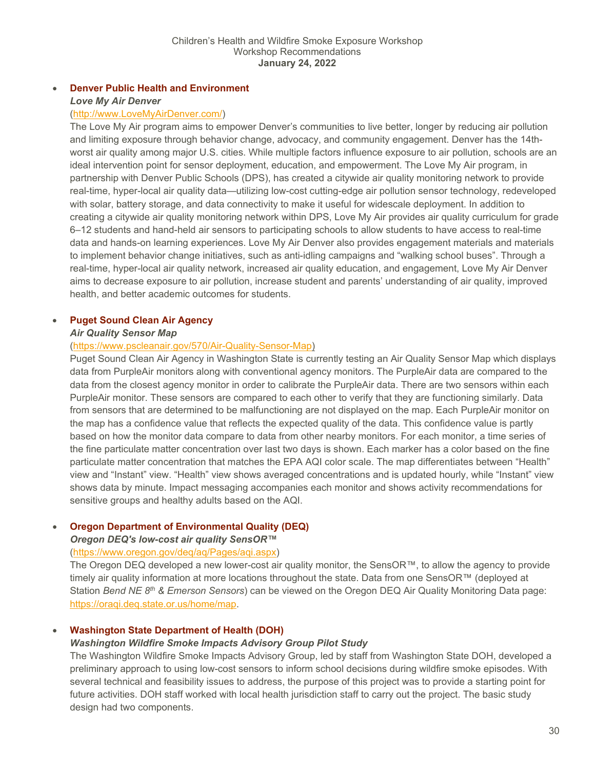#### • **Denver Public Health and Environment** *Love My Air Denver*

#### [\(http://www.LoveMyAirDenver.com/\)](http://www.lovemyairdenver.com/)

The Love My Air program aims to empower Denver's communities to live better, longer by reducing air pollution and limiting exposure through behavior change, advocacy, and community engagement. Denver has the 14thworst air quality among major U.S. cities. While multiple factors influence exposure to air pollution, schools are an ideal intervention point for sensor deployment, education, and empowerment. The Love My Air program, in partnership with Denver Public Schools (DPS), has created a citywide air quality monitoring network to provide real-time, hyper-local air quality data—utilizing low-cost cutting-edge air pollution sensor technology, redeveloped with solar, battery storage, and data connectivity to make it useful for widescale deployment. In addition to creating a citywide air quality monitoring network within DPS, Love My Air provides air quality curriculum for grade 6–12 students and hand-held air sensors to participating schools to allow students to have access to real-time data and hands-on learning experiences. Love My Air Denver also provides engagement materials and materials to implement behavior change initiatives, such as anti-idling campaigns and "walking school buses". Through a real-time, hyper-local air quality network, increased air quality education, and engagement, Love My Air Denver aims to decrease exposure to air pollution, increase student and parents' understanding of air quality, improved health, and better academic outcomes for students.

#### • **Puget Sound Clean Air Agency**

#### *Air Quality Sensor Map*

#### [\(https://www.pscleanair.gov/570/Air-Quality-Sensor-Map\)](https://www.pscleanair.gov/570/Air-Quality-Sensor-Map)

Puget Sound Clean Air Agency in Washington State is currently testing an Air Quality Sensor Map which displays data from PurpleAir monitors along with conventional agency monitors. The PurpleAir data are compared to the data from the closest agency monitor in order to calibrate the PurpleAir data. There are two sensors within each PurpleAir monitor. These sensors are compared to each other to verify that they are functioning similarly. Data from sensors that are determined to be malfunctioning are not displayed on the map. Each PurpleAir monitor on the map has a confidence value that reflects the expected quality of the data. This confidence value is partly based on how the monitor data compare to data from other nearby monitors. For each monitor, a time series of the fine particulate matter concentration over last two days is shown. Each marker has a color based on the fine particulate matter concentration that matches the EPA AQI color scale. The map differentiates between "Health" view and "Instant" view. "Health" view shows averaged concentrations and is updated hourly, while "Instant" view shows data by minute. Impact messaging accompanies each monitor and shows activity recommendations for sensitive groups and healthy adults based on the AQI.

#### • **Oregon Department of Environmental Quality (DEQ)**

#### *Oregon DEQ's low-cost air quality SensOR™*

#### [\(https://www.oregon.gov/deq/aq/Pages/aqi.aspx\)](https://www.oregon.gov/deq/aq/Pages/aqi.aspx)

The Oregon DEQ developed a new lower-cost air quality monitor, the SensOR™, to allow the agency to provide timely air quality information at more locations throughout the state. Data from one SensOR™ (deployed at Station *Bend NE 8th & Emerson Sensors*) can be viewed on the Oregon DEQ Air Quality Monitoring Data page: [https://oraqi.deq.state.or.us/home/map.](https://oraqi.deq.state.or.us/home/map)

#### • **Washington State Department of Health (DOH)**

#### *Washington Wildfire Smoke Impacts Advisory Group Pilot Study*

The Washington Wildfire Smoke Impacts Advisory Group, led by staff from Washington State DOH, developed a preliminary approach to using low-cost sensors to inform school decisions during wildfire smoke episodes. With several technical and feasibility issues to address, the purpose of this project was to provide a starting point for future activities. DOH staff worked with local health jurisdiction staff to carry out the project. The basic study design had two components.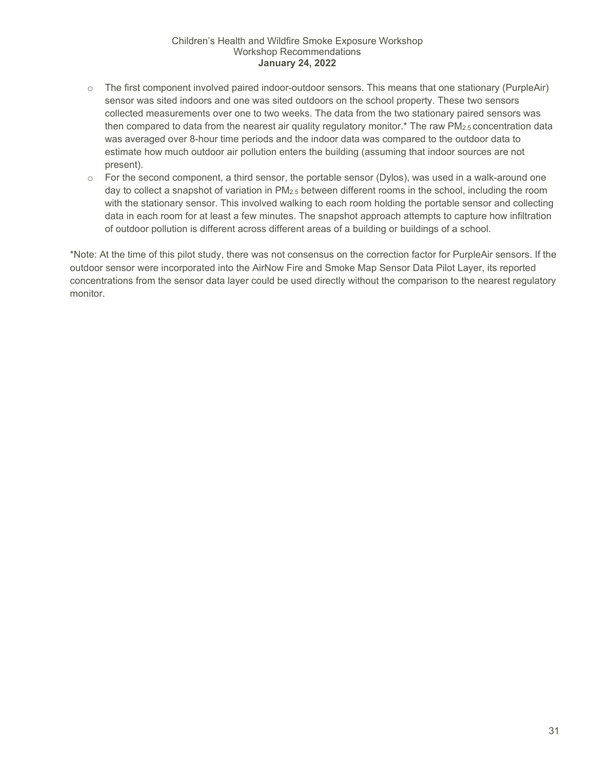- $\circ$  The first component involved paired indoor-outdoor sensors. This means that one stationary (PurpleAir) sensor was sited indoors and one was sited outdoors on the school property. These two sensors collected measurements over one to two weeks. The data from the two stationary paired sensors was then compared to data from the nearest air quality regulatory monitor.\* The raw PM<sub>2.5</sub> concentration data was averaged over 8-hour time periods and the indoor data was compared to the outdoor data to estimate how much outdoor air pollution enters the building (assuming that indoor sources are not present).
- $\circ$  For the second component, a third sensor, the portable sensor (Dylos), was used in a walk-around one day to collect a snapshot of variation in PM2.5 between different rooms in the school, including the room with the stationary sensor. This involved walking to each room holding the portable sensor and collecting data in each room for at least a few minutes. The snapshot approach attempts to capture how infiltration of outdoor pollution is different across different areas of a building or buildings of a school.

\*Note: At the time of this pilot study, there was not consensus on the correction factor for PurpleAir sensors. If the outdoor sensor were incorporated into the AirNow Fire and Smoke Map Sensor Data Pilot Layer, its reported concentrations from the sensor data layer could be used directly without the comparison to the nearest regulatory monitor.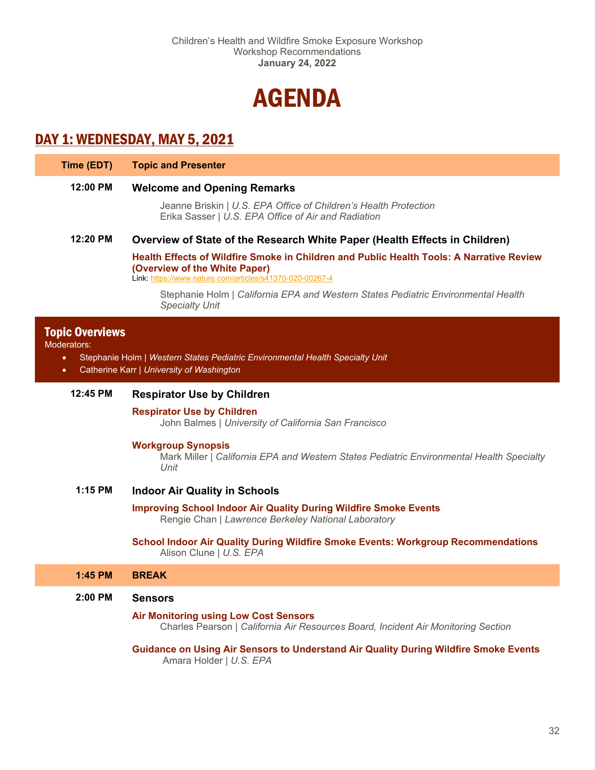

## <span id="page-31-0"></span>DAY 1: WEDNESDAY, MAY 5, 2021

| Time (EDT) |  |  |  | <b>Topic and Presenter</b> |
|------------|--|--|--|----------------------------|
|------------|--|--|--|----------------------------|

#### **12:00 PM Welcome and Opening Remarks**

Jeanne Briskin | *U.S. EPA Office of Children's Health Protection* Erika Sasser | *U.S. EPA Office of Air and Radiation*

#### **12:20 PM Overview of State of the Research White Paper (Health Effects in Children)**

**Health Effects of Wildfire Smoke in Children and Public Health Tools: A Narrative Review (Overview of the White Paper)**

Link:<https://www.nature.com/articles/s41370-020-00267-4>

Stephanie Holm | *California EPA and Western States Pediatric Environmental Health Specialty Unit*

#### Topic Overviews

Moderators:

- Stephanie Holm | *Western States Pediatric Environmental Health Specialty Unit*
- Catherine Karr *| University of Washington*

#### **12:45 PM Respirator Use by Children**

#### **Respirator Use by Children**

John Balmes | *University of California San Francisco*

#### **Workgroup Synopsis**

Mark Miller | *California EPA and Western States Pediatric Environmental Health Specialty Unit*

**1:15 PM Indoor Air Quality in Schools**

#### **Improving School Indoor Air Quality During Wildfire Smoke Events** Rengie Chan | *Lawrence Berkeley National Laboratory*

#### **School Indoor Air Quality During Wildfire Smoke Events: Workgroup Recommendations** Alison Clune | *U.S. EPA*

#### **1:45 PM BREAK**

#### **2:00 PM Sensors**

#### **Air Monitoring using Low Cost Sensors**

Charles Pearson | *California Air Resources Board, Incident Air Monitoring Section*

**Guidance on Using Air Sensors to Understand Air Quality During Wildfire Smoke Events** Amara Holder | *U.S. EPA*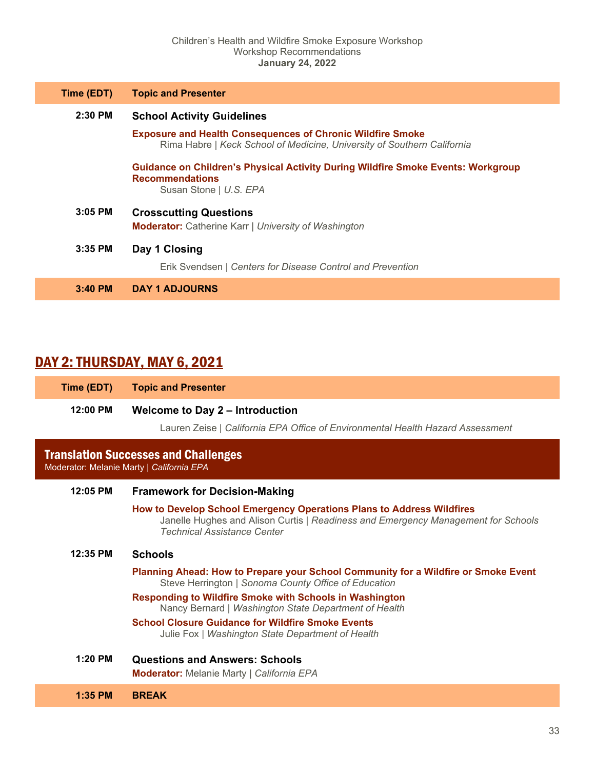| Time (EDT) | <b>Topic and Presenter</b>                                                                                                                   |  |  |
|------------|----------------------------------------------------------------------------------------------------------------------------------------------|--|--|
| $2:30$ PM  | <b>School Activity Guidelines</b>                                                                                                            |  |  |
|            | <b>Exposure and Health Consequences of Chronic Wildfire Smoke</b><br>Rima Habre   Keck School of Medicine, University of Southern California |  |  |
|            | <b>Guidance on Children's Physical Activity During Wildfire Smoke Events: Workgroup</b><br><b>Recommendations</b><br>Susan Stone   U.S. EPA  |  |  |
| $3:05$ PM  | <b>Crosscutting Questions</b>                                                                                                                |  |  |
|            | <b>Moderator:</b> Catherine Karr   University of Washington                                                                                  |  |  |
| $3:35$ PM  | Day 1 Closing                                                                                                                                |  |  |
|            | Erik Svendsen   Centers for Disease Control and Prevention                                                                                   |  |  |
| $3:40$ PM  | <b>DAY 1 ADJOURNS</b>                                                                                                                        |  |  |

## DAY 2: THURSDAY, MAY 6, 2021

| Time (EDT) | <b>Topic and Presenter</b>                                                                                                                                                                       |
|------------|--------------------------------------------------------------------------------------------------------------------------------------------------------------------------------------------------|
| 12:00 PM   | <b>Welcome to Day 2 – Introduction</b><br>Lauren Zeise   California EPA Office of Environmental Health Hazard Assessment                                                                         |
|            | <b>Translation Successes and Challenges</b><br>Moderator: Melanie Marty   California EPA                                                                                                         |
| 12:05 PM   | <b>Framework for Decision-Making</b>                                                                                                                                                             |
|            | How to Develop School Emergency Operations Plans to Address Wildfires<br>Janelle Hughes and Alison Curtis   Readiness and Emergency Management for Schools<br><b>Technical Assistance Center</b> |
| 12:35 PM   | <b>Schools</b>                                                                                                                                                                                   |
|            | Planning Ahead: How to Prepare your School Community for a Wildfire or Smoke Event<br>Steve Herrington   Sonoma County Office of Education                                                       |
|            | <b>Responding to Wildfire Smoke with Schools in Washington</b><br>Nancy Bernard   Washington State Department of Health                                                                          |
|            | <b>School Closure Guidance for Wildfire Smoke Events</b><br>Julie Fox   Washington State Department of Health                                                                                    |
| $1:20$ PM  | <b>Questions and Answers: Schools</b><br><b>Moderator:</b> Melanie Marty   California EPA                                                                                                        |
| $1:35$ PM  | <b>BREAK</b>                                                                                                                                                                                     |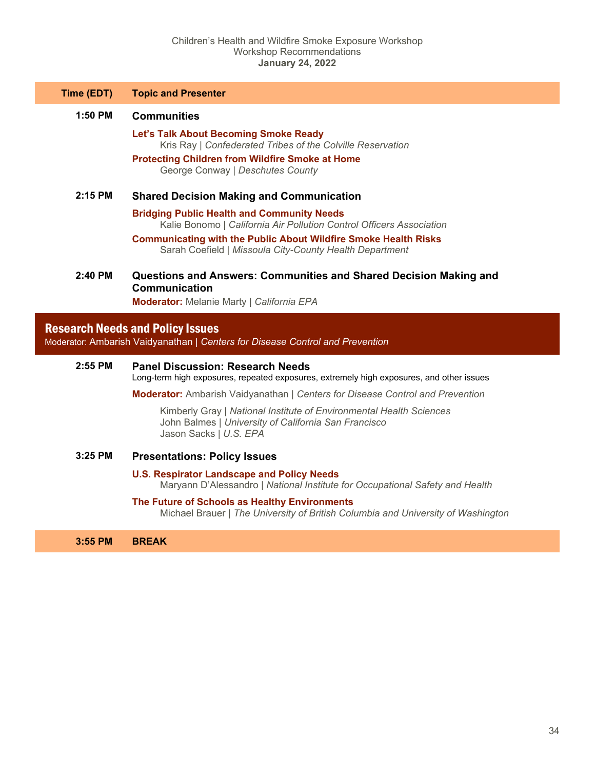| Time (EDT) | <b>Topic and Presenter</b> |
|------------|----------------------------|
|------------|----------------------------|

- **1:50 PM Communities**
	- **Let's Talk About Becoming Smoke Ready** Kris Ray | *Confederated Tribes of the Colville Reservation*
	- **Protecting Children from Wildfire Smoke at Home** George Conway | *Deschutes County*

#### **2:15 PM Shared Decision Making and Communication**

- **Bridging Public Health and Community Needs** Kalie Bonomo | *California Air Pollution Control Officers Association*
- **Communicating with the Public About Wildfire Smoke Health Risks** Sarah Coefield | *Missoula City-County Health Department*
- **2:40 PM Questions and Answers: Communities and Shared Decision Making and Communication**

**Moderator:** Melanie Marty | *California EPA*

## Research Needs and Policy Issues

Moderator: Ambarish Vaidyanathan | *Centers for Disease Control and Prevention*

#### **2:55 PM Panel Discussion: Research Needs**

Long-term high exposures, repeated exposures, extremely high exposures, and other issues

**Moderator:** Ambarish Vaidyanathan | *Centers for Disease Control and Prevention*

Kimberly Gray | *National Institute of Environmental Health Sciences* John Balmes | *University of California San Francisco* Jason Sacks | *U.S. EPA*

#### **3:25 PM Presentations: Policy Issues**

## **U.S. Respirator Landscape and Policy Needs**

Maryann D'Alessandro | *National Institute for Occupational Safety and Health*

#### **The Future of Schools as Healthy Environments** Michael Brauer | *The University of British Columbia and University of Washington*

#### **3:55 PM BREAK**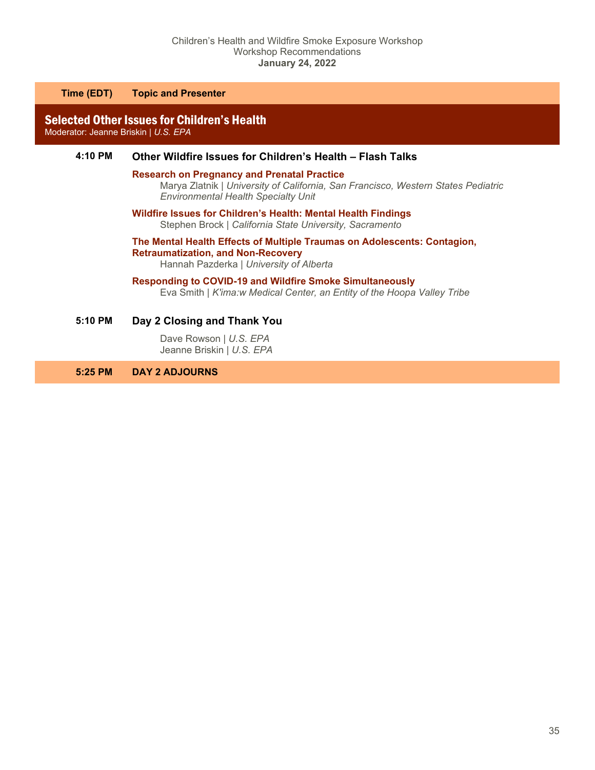**Time (EDT) Topic and Presenter**

Selected Other Issues for Children's Health Moderator: Jeanne Briskin | *U.S. EPA*

#### **4:10 PM Other Wildfire Issues for Children's Health – Flash Talks**

#### **Research on Pregnancy and Prenatal Practice**

Marya Zlatnik | *University of California, San Francisco, Western States Pediatric Environmental Health Specialty Unit*

**Wildfire Issues for Children's Health: Mental Health Findings** Stephen Brock | *California State University, Sacramento*

## **The Mental Health Effects of Multiple Traumas on Adolescents: Contagion, Retraumatization, and Non-Recovery**

Hannah Pazderka | *University of Alberta* 

#### **Responding to COVID-19 and Wildfire Smoke Simultaneously**

Eva Smith | *K'ima:w Medical Center, an Entity of the Hoopa Valley Tribe* 

**5:10 PM Day 2 Closing and Thank You**

Dave Rowson | *U.S. EPA* Jeanne Briskin | *U.S. EPA*

**5:25 PM DAY 2 ADJOURNS**